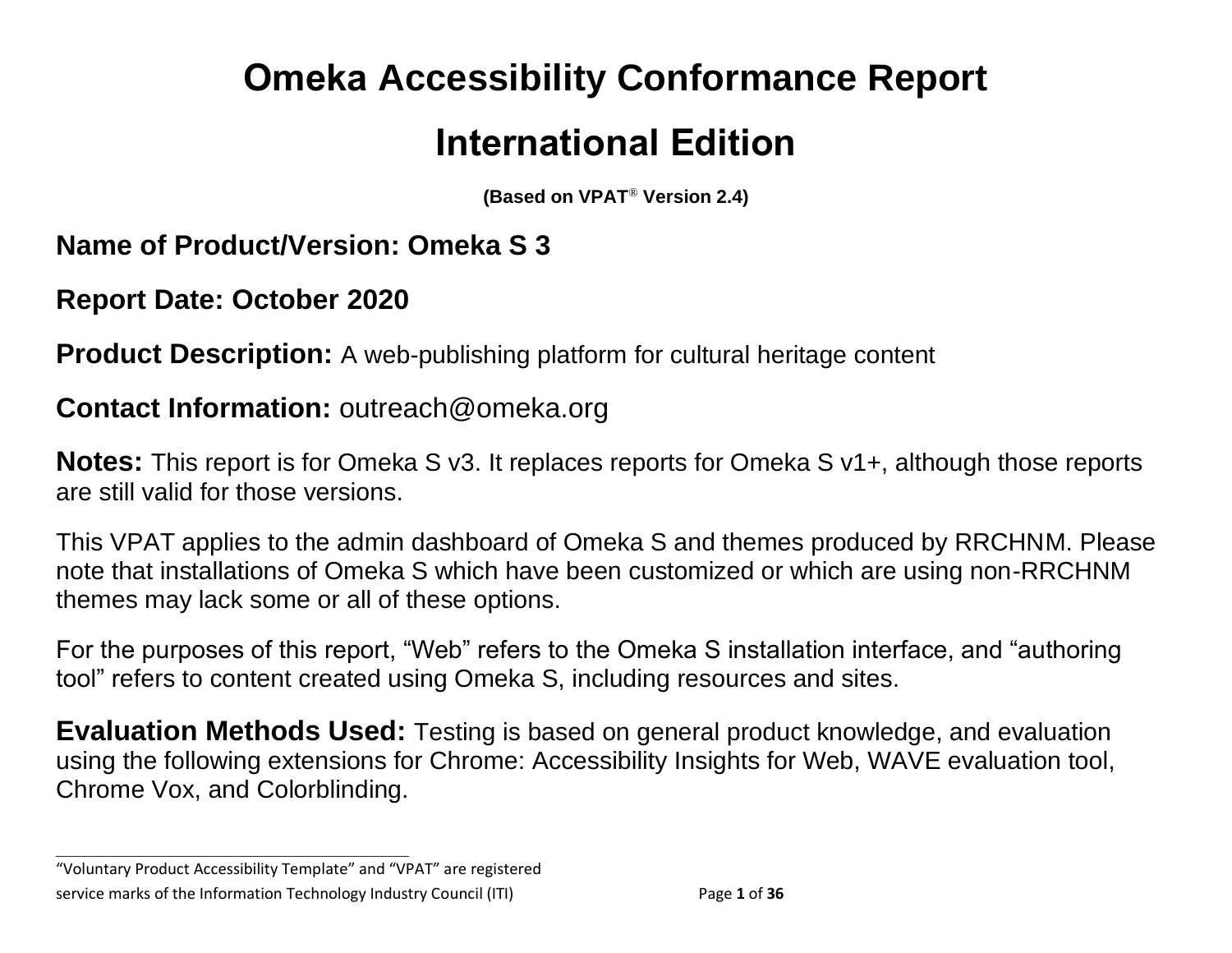# **Omeka Accessibility Conformance Report International Edition**

**(Based on VPAT**® **Version 2.4)**

**Name of Product/Version: Omeka S 3**

**Report Date: October 2020**

**Product Description:** A web-publishing platform for cultural heritage content

### **Contact Information:** outreach@omeka.org

**Notes:** This report is for Omeka S v3. It replaces reports for Omeka S v1+, although those reports are still valid for those versions.

This VPAT applies to the admin dashboard of Omeka S and themes produced by RRCHNM. Please note that installations of Omeka S which have been customized or which are using non-RRCHNM themes may lack some or all of these options.

For the purposes of this report, "Web" refers to the Omeka S installation interface, and "authoring tool" refers to content created using Omeka S, including resources and sites.

**Evaluation Methods Used:** Testing is based on general product knowledge, and evaluation using the following extensions for Chrome: Accessibility Insights for Web, WAVE evaluation tool, Chrome Vox, and Colorblinding.

"Voluntary Product Accessibility Template" and "VPAT" are registered service marks of the Information Technology Industry Council (ITI) Page **1** of **36**

**\_\_\_\_\_\_\_\_\_\_\_\_\_\_\_\_\_\_\_\_\_\_\_\_\_\_\_\_\_\_\_\_\_\_**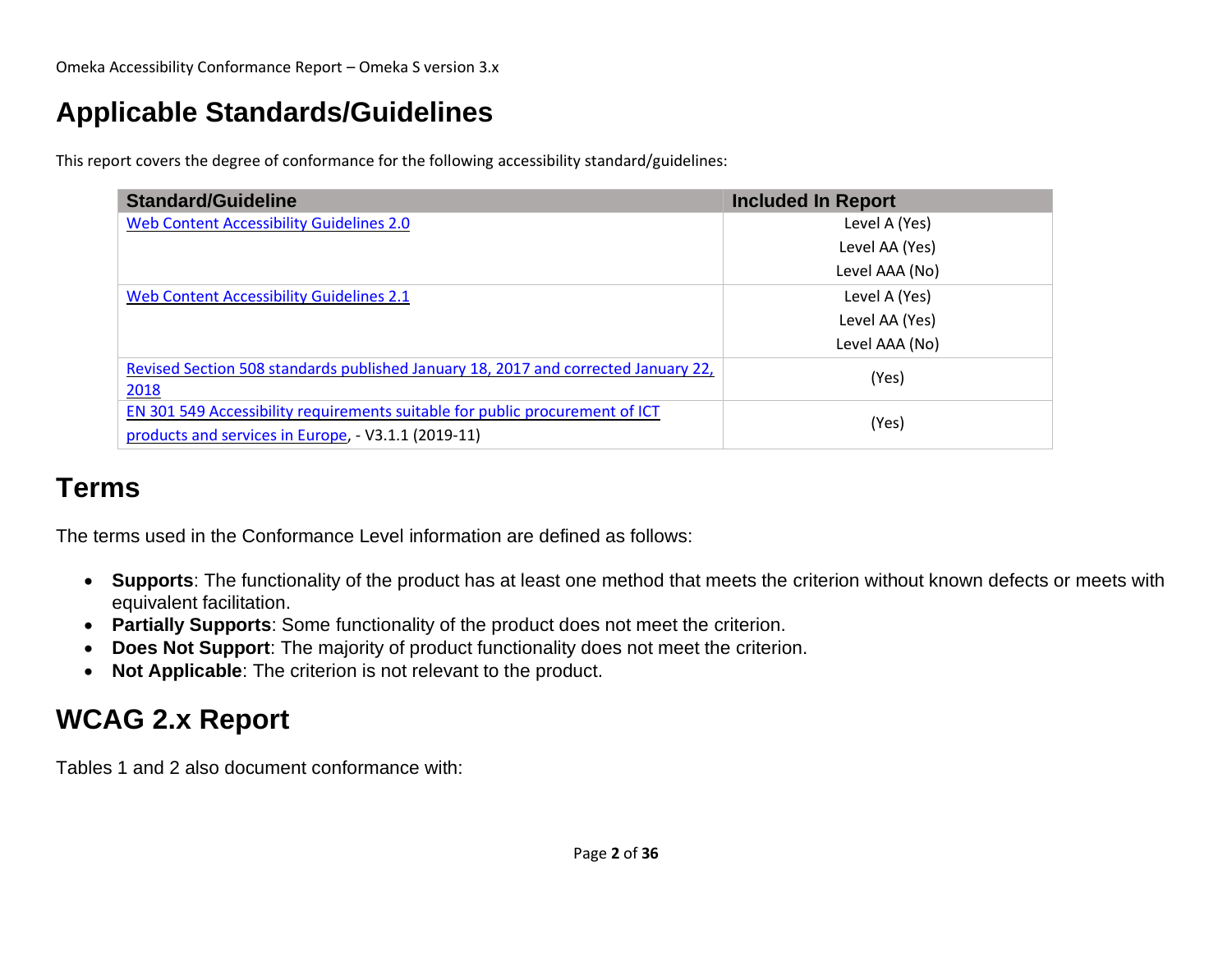# **Applicable Standards/Guidelines**

This report covers the degree of conformance for the following accessibility standard/guidelines:

| <b>Standard/Guideline</b>                                                                  | <b>Included In Report</b> |
|--------------------------------------------------------------------------------------------|---------------------------|
| Web Content Accessibility Guidelines 2.0                                                   | Level A (Yes)             |
|                                                                                            | Level AA (Yes)            |
|                                                                                            | Level AAA (No)            |
| Web Content Accessibility Guidelines 2.1                                                   | Level A (Yes)             |
|                                                                                            | Level AA (Yes)            |
|                                                                                            | Level AAA (No)            |
| Revised Section 508 standards published January 18, 2017 and corrected January 22,<br>2018 | (Yes)                     |
| EN 301 549 Accessibility requirements suitable for public procurement of ICT               | (Yes)                     |
| products and services in Europe, - V3.1.1 (2019-11)                                        |                           |

### **Terms**

The terms used in the Conformance Level information are defined as follows:

- **Supports**: The functionality of the product has at least one method that meets the criterion without known defects or meets with equivalent facilitation.
- **Partially Supports**: Some functionality of the product does not meet the criterion.
- **Does Not Support**: The majority of product functionality does not meet the criterion.
- **Not Applicable**: The criterion is not relevant to the product.

# <span id="page-1-0"></span>**WCAG 2.x Report**

Tables 1 and 2 also document conformance with: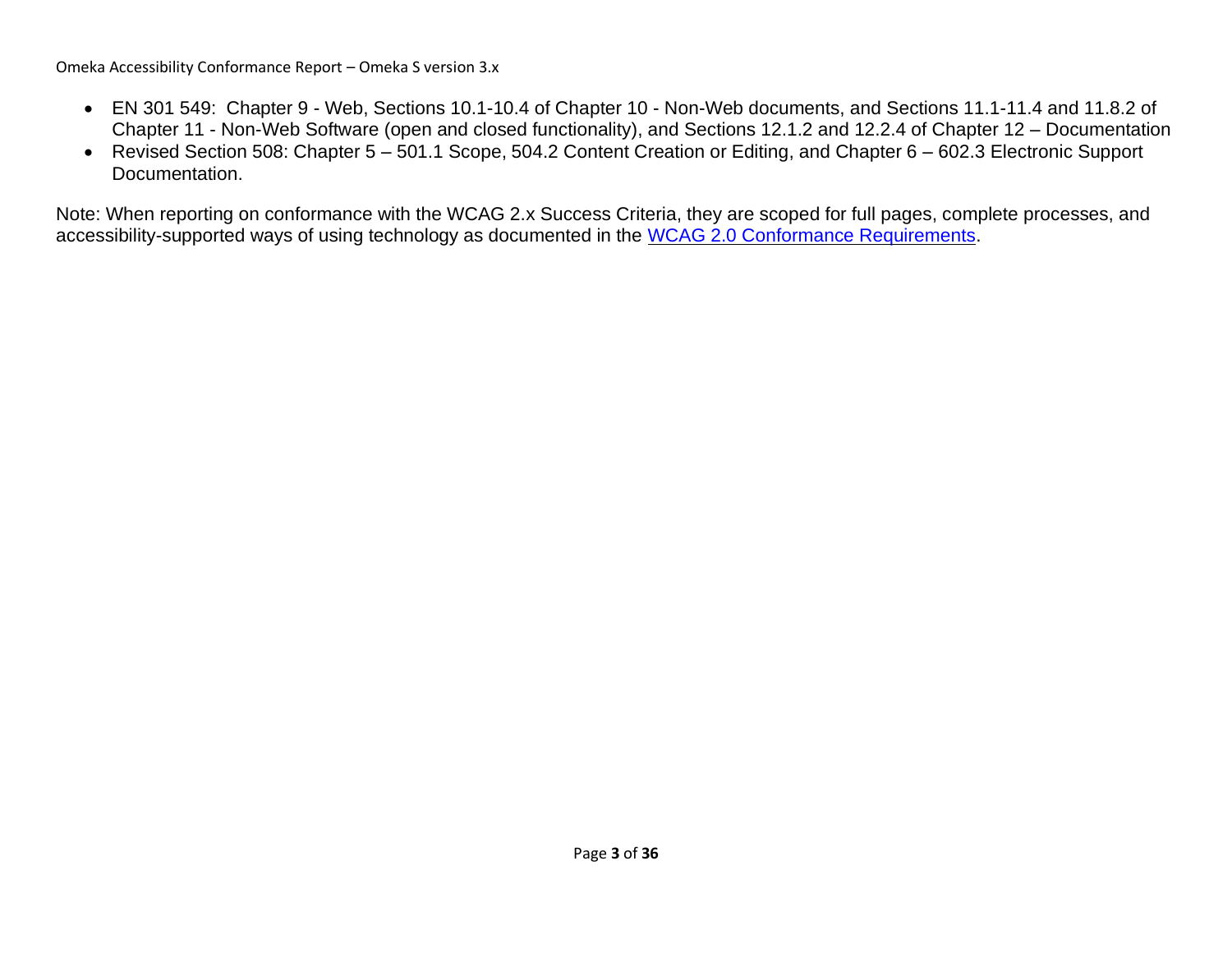Omeka Accessibility Conformance Report – Omeka S version 3.x

- EN 301 549: Chapter 9 Web, Sections 10.1-10.4 of Chapter 10 Non-Web documents, and Sections 11.1-11.4 and 11.8.2 of Chapter 11 - Non-Web Software (open and closed functionality), and Sections 12.1.2 and 12.2.4 of Chapter 12 – Documentation
- Revised Section 508: Chapter 5 501.1 Scope, 504.2 Content Creation or Editing, and Chapter 6 602.3 Electronic Support Documentation.

Note: When reporting on conformance with the WCAG 2.x Success Criteria, they are scoped for full pages, complete processes, and accessibility-supported ways of using technology as documented in the [WCAG 2.0 Conformance Requirements.](https://www.w3.org/TR/WCAG20/#conformance-reqs)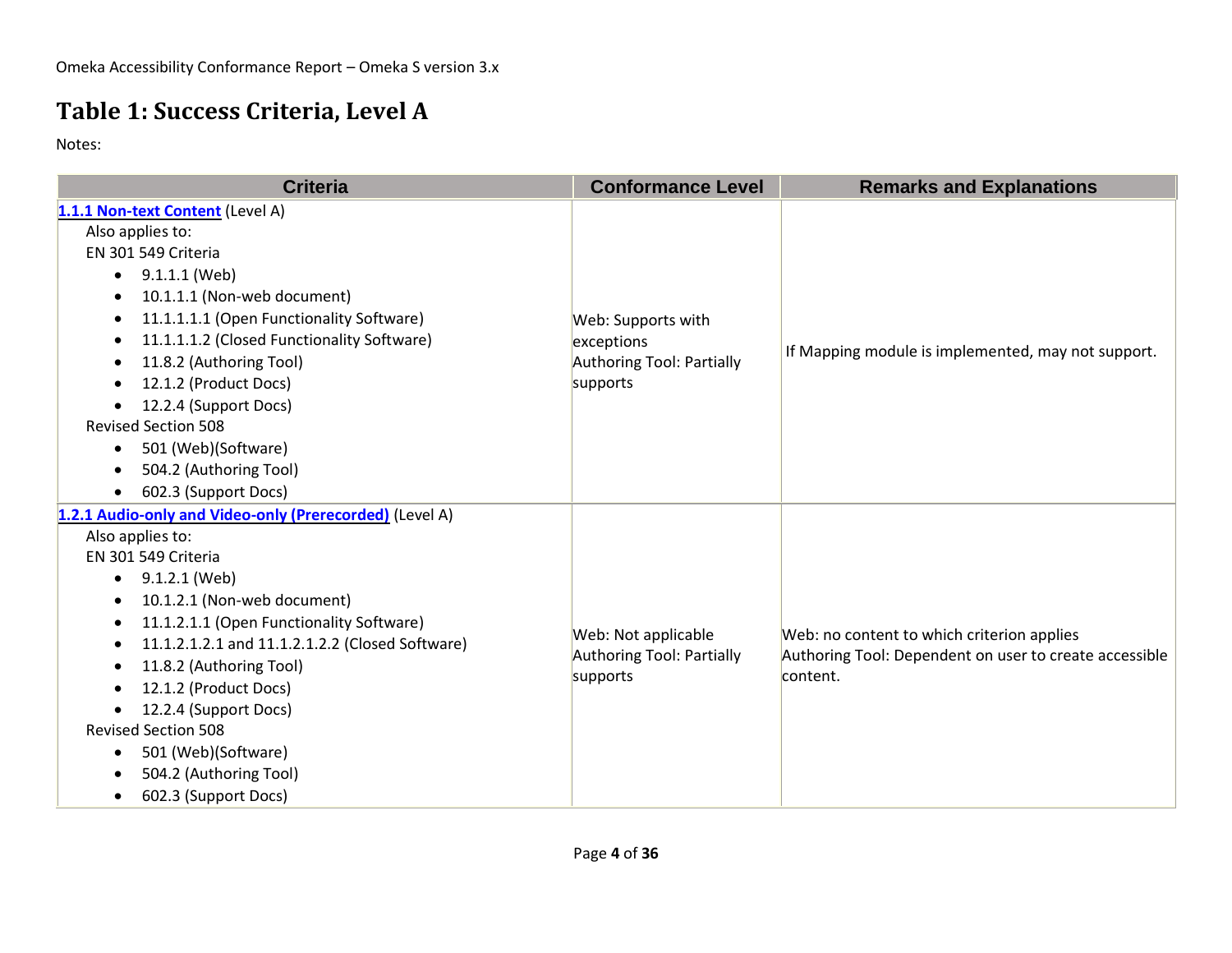### **Table 1: Success Criteria, Level A**

| <b>Criteria</b>                                                                                                                                                                                                                                                                                                                                                                                                                                              | <b>Conformance Level</b>                                                  | <b>Remarks and Explanations</b>                                                                                  |
|--------------------------------------------------------------------------------------------------------------------------------------------------------------------------------------------------------------------------------------------------------------------------------------------------------------------------------------------------------------------------------------------------------------------------------------------------------------|---------------------------------------------------------------------------|------------------------------------------------------------------------------------------------------------------|
| 1.1.1 Non-text Content (Level A)<br>Also applies to:<br>EN 301 549 Criteria<br>9.1.1.1 (Web)<br>$\bullet$<br>10.1.1.1 (Non-web document)<br>11.1.1.1.1 (Open Functionality Software)<br>11.1.1.1.2 (Closed Functionality Software)<br>٠<br>11.8.2 (Authoring Tool)<br>12.1.2 (Product Docs)<br>12.2.4 (Support Docs)<br>$\bullet$                                                                                                                            | Web: Supports with<br>exceptions<br>Authoring Tool: Partially<br>supports | If Mapping module is implemented, may not support.                                                               |
| <b>Revised Section 508</b><br>501 (Web)(Software)<br>$\bullet$<br>504.2 (Authoring Tool)<br>602.3 (Support Docs)                                                                                                                                                                                                                                                                                                                                             |                                                                           |                                                                                                                  |
| 1.2.1 Audio-only and Video-only (Prerecorded) (Level A)<br>Also applies to:<br>EN 301 549 Criteria<br>9.1.2.1 (Web)<br>٠<br>10.1.2.1 (Non-web document)<br>٠<br>11.1.2.1.1 (Open Functionality Software)<br>11.1.2.1.2.1 and 11.1.2.1.2.2 (Closed Software)<br>11.8.2 (Authoring Tool)<br>12.1.2 (Product Docs)<br>12.2.4 (Support Docs)<br><b>Revised Section 508</b><br>501 (Web)(Software)<br>$\bullet$<br>504.2 (Authoring Tool)<br>602.3 (Support Docs) | Web: Not applicable<br>Authoring Tool: Partially<br>supports              | Web: no content to which criterion applies<br>Authoring Tool: Dependent on user to create accessible<br>content. |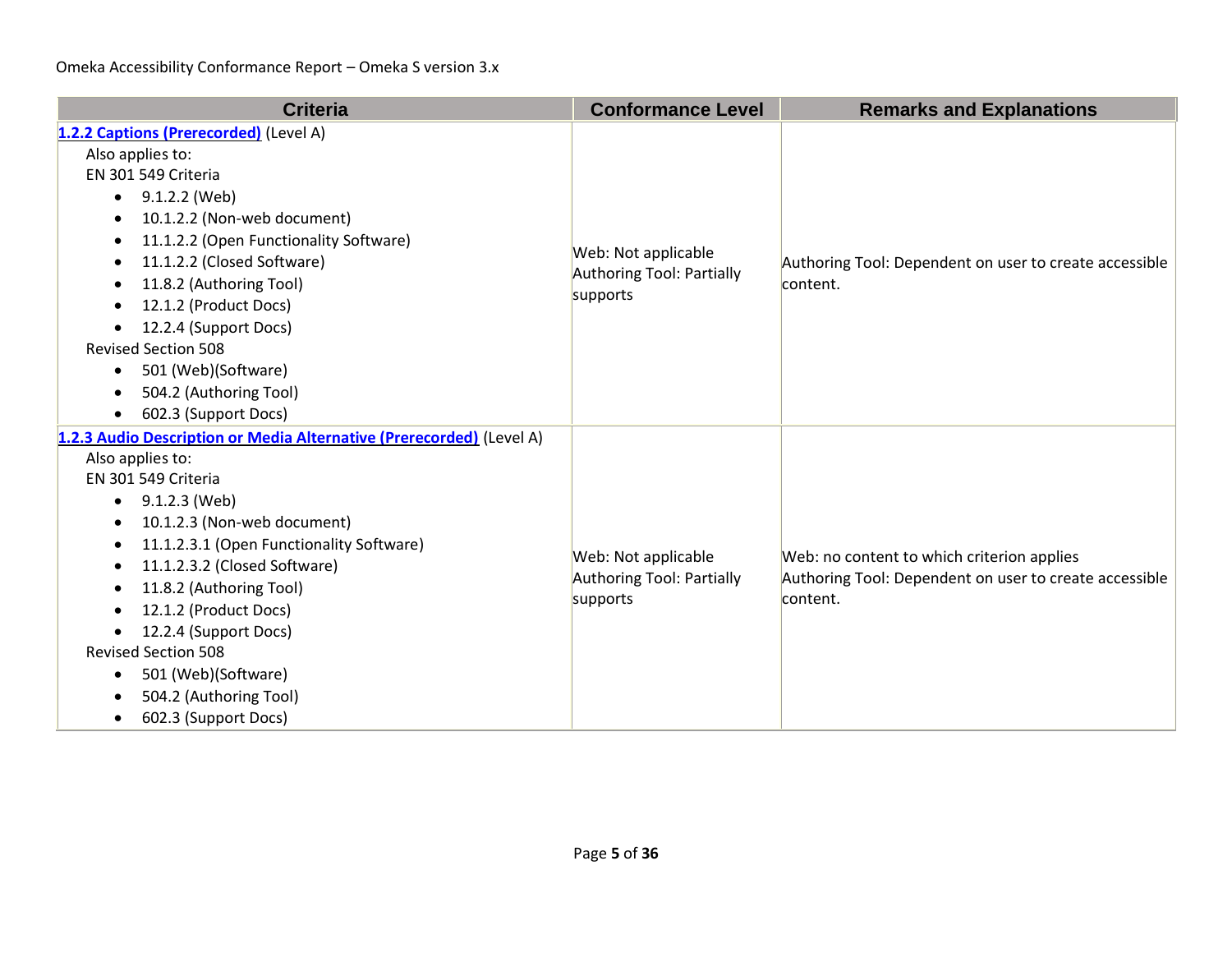| <b>Criteria</b>                                                                                                                                                                                                                                                                                                                                                                                                                                                                          | <b>Conformance Level</b>                                            | <b>Remarks and Explanations</b>                                                                                  |
|------------------------------------------------------------------------------------------------------------------------------------------------------------------------------------------------------------------------------------------------------------------------------------------------------------------------------------------------------------------------------------------------------------------------------------------------------------------------------------------|---------------------------------------------------------------------|------------------------------------------------------------------------------------------------------------------|
| 1.2.2 Captions (Prerecorded) (Level A)<br>Also applies to:<br>EN 301 549 Criteria<br>9.1.2.2 (Web)<br>$\bullet$<br>10.1.2.2 (Non-web document)<br>٠<br>11.1.2.2 (Open Functionality Software)<br>11.1.2.2 (Closed Software)<br>11.8.2 (Authoring Tool)<br>12.1.2 (Product Docs)<br>12.2.4 (Support Docs)<br>$\bullet$<br><b>Revised Section 508</b><br>501 (Web)(Software)<br>$\bullet$<br>504.2 (Authoring Tool)<br>602.3 (Support Docs)<br>$\bullet$                                   | Web: Not applicable<br><b>Authoring Tool: Partially</b><br>supports | Authoring Tool: Dependent on user to create accessible<br>content.                                               |
| 1.2.3 Audio Description or Media Alternative (Prerecorded) (Level A)<br>Also applies to:<br>EN 301 549 Criteria<br>9.1.2.3 (Web)<br>$\bullet$<br>10.1.2.3 (Non-web document)<br>11.1.2.3.1 (Open Functionality Software)<br>11.1.2.3.2 (Closed Software)<br>$\bullet$<br>11.8.2 (Authoring Tool)<br>12.1.2 (Product Docs)<br>12.2.4 (Support Docs)<br>$\bullet$<br><b>Revised Section 508</b><br>501 (Web)(Software)<br>$\bullet$<br>504.2 (Authoring Tool)<br>602.3 (Support Docs)<br>٠ | Web: Not applicable<br><b>Authoring Tool: Partially</b><br>supports | Web: no content to which criterion applies<br>Authoring Tool: Dependent on user to create accessible<br>content. |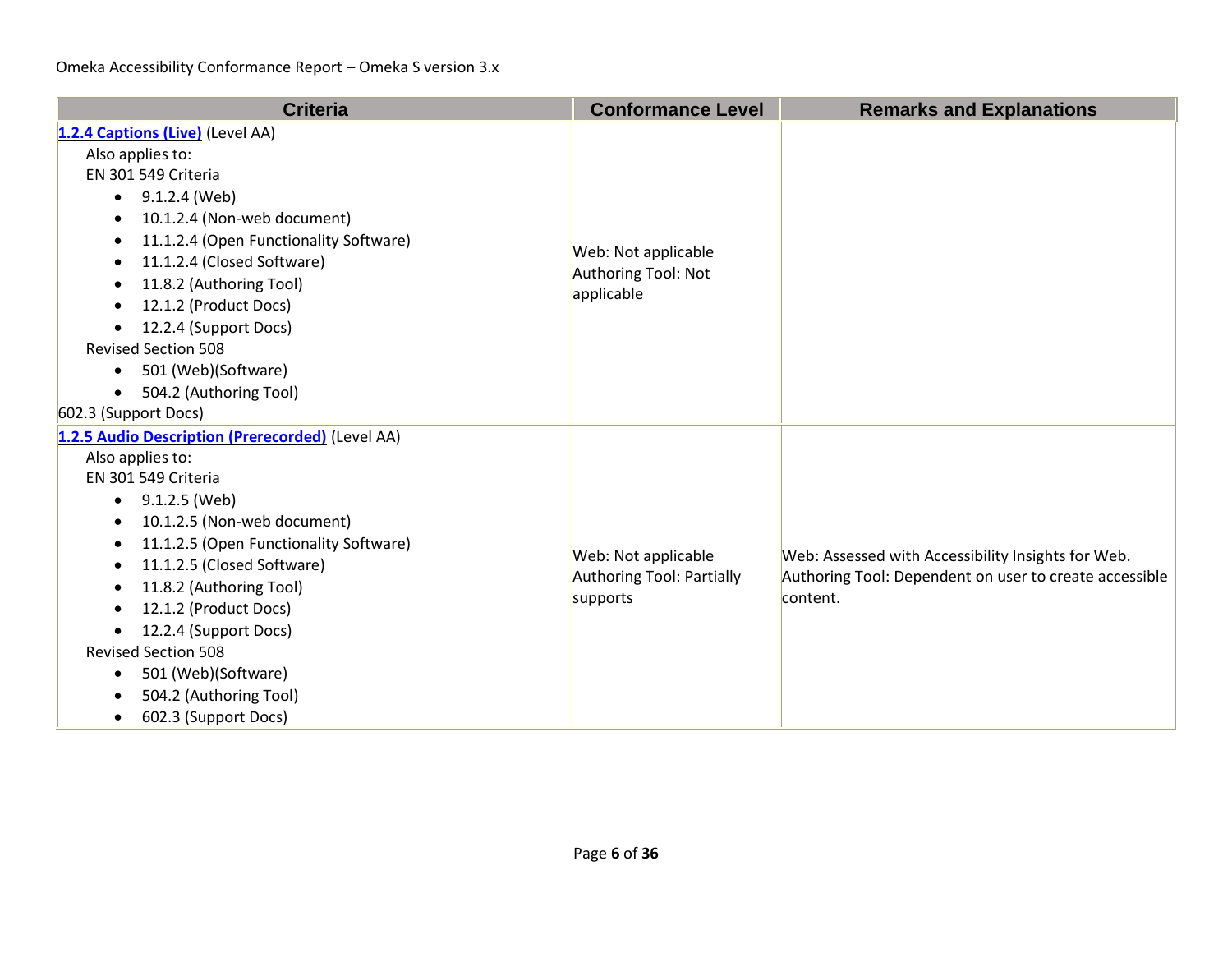| <b>Criteria</b>                                                                                                                                                                                                                                                                                                                                                                                                                                                       | <b>Conformance Level</b>                                            | <b>Remarks and Explanations</b>                                                                                          |
|-----------------------------------------------------------------------------------------------------------------------------------------------------------------------------------------------------------------------------------------------------------------------------------------------------------------------------------------------------------------------------------------------------------------------------------------------------------------------|---------------------------------------------------------------------|--------------------------------------------------------------------------------------------------------------------------|
| 1.2.4 Captions (Live) (Level AA)<br>Also applies to:<br>EN 301 549 Criteria<br>9.1.2.4 (Web)<br>$\bullet$<br>10.1.2.4 (Non-web document)<br>$\bullet$<br>11.1.2.4 (Open Functionality Software)<br>11.1.2.4 (Closed Software)<br>11.8.2 (Authoring Tool)<br>٠<br>12.1.2 (Product Docs)<br>12.2.4 (Support Docs)<br>$\bullet$<br><b>Revised Section 508</b><br>501 (Web)(Software)<br>$\bullet$<br>504.2 (Authoring Tool)<br>$\bullet$<br>602.3 (Support Docs)         | Web: Not applicable<br>Authoring Tool: Not<br>applicable            |                                                                                                                          |
| 1.2.5 Audio Description (Prerecorded) (Level AA)<br>Also applies to:<br>EN 301 549 Criteria<br>9.1.2.5 (Web)<br>$\bullet$<br>10.1.2.5 (Non-web document)<br>$\bullet$<br>11.1.2.5 (Open Functionality Software)<br>11.1.2.5 (Closed Software)<br>٠<br>11.8.2 (Authoring Tool)<br>٠<br>12.1.2 (Product Docs)<br>12.2.4 (Support Docs)<br><b>Revised Section 508</b><br>501 (Web)(Software)<br>$\bullet$<br>504.2 (Authoring Tool)<br>602.3 (Support Docs)<br>$\bullet$ | Web: Not applicable<br><b>Authoring Tool: Partially</b><br>supports | Web: Assessed with Accessibility Insights for Web.<br>Authoring Tool: Dependent on user to create accessible<br>content. |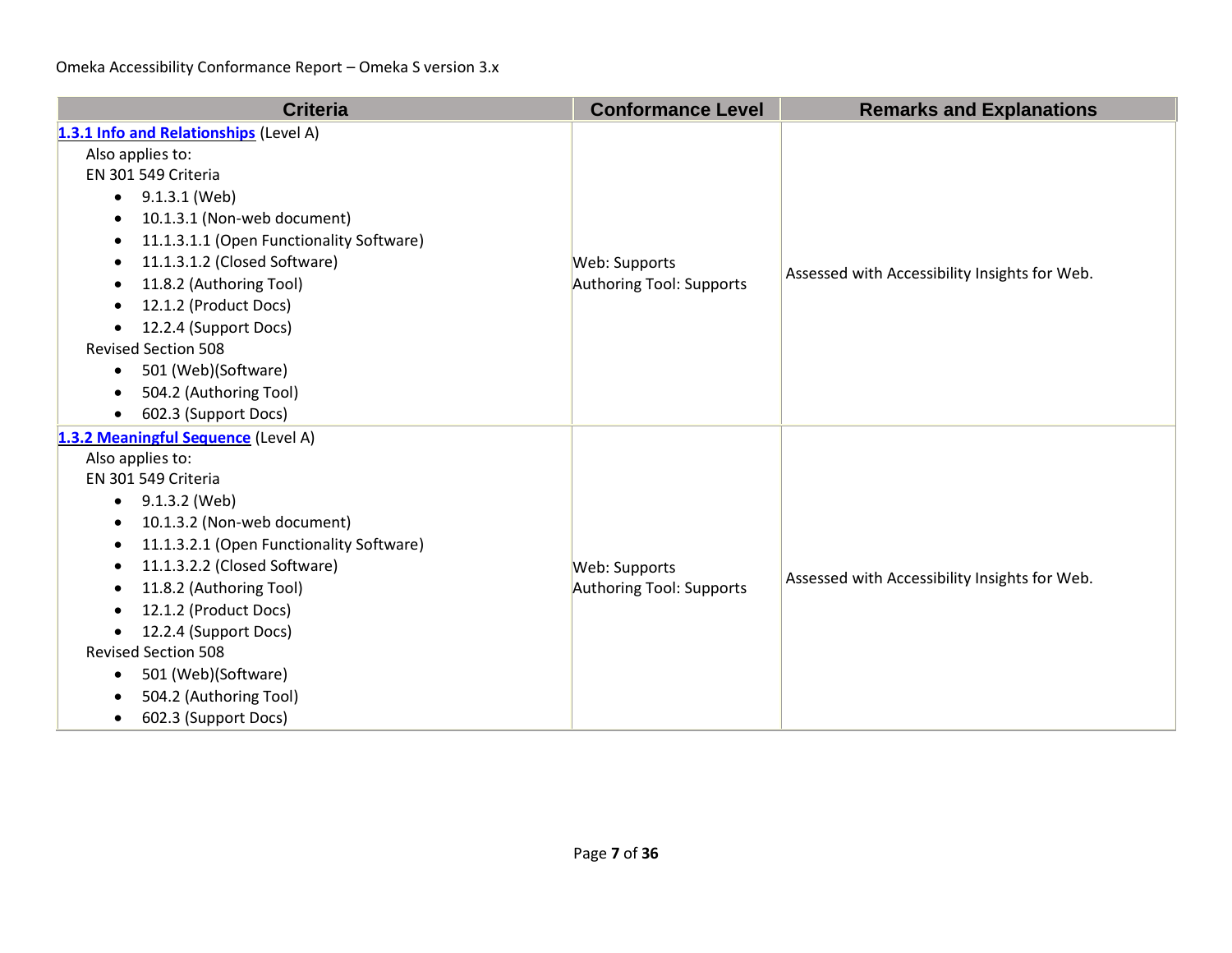| <b>Criteria</b>                                                                                                                                                                                                                                                                                                                                                                                                                                                                                | <b>Conformance Level</b>                  | <b>Remarks and Explanations</b>               |
|------------------------------------------------------------------------------------------------------------------------------------------------------------------------------------------------------------------------------------------------------------------------------------------------------------------------------------------------------------------------------------------------------------------------------------------------------------------------------------------------|-------------------------------------------|-----------------------------------------------|
| 1.3.1 Info and Relationships (Level A)<br>Also applies to:<br>EN 301 549 Criteria<br>$\bullet$ 9.1.3.1 (Web)<br>10.1.3.1 (Non-web document)<br>$\bullet$<br>11.1.3.1.1 (Open Functionality Software)<br>$\bullet$<br>11.1.3.1.2 (Closed Software)<br>$\bullet$<br>11.8.2 (Authoring Tool)<br>12.1.2 (Product Docs)<br>٠<br>12.2.4 (Support Docs)<br>$\bullet$<br><b>Revised Section 508</b><br>501 (Web)(Software)<br>$\bullet$<br>504.2 (Authoring Tool)<br>602.3 (Support Docs)<br>$\bullet$ | Web: Supports<br>Authoring Tool: Supports | Assessed with Accessibility Insights for Web. |
| 1.3.2 Meaningful Sequence (Level A)<br>Also applies to:<br>EN 301 549 Criteria<br>9.1.3.2 (Web)<br>$\bullet$<br>10.1.3.2 (Non-web document)<br>$\bullet$<br>11.1.3.2.1 (Open Functionality Software)<br>$\bullet$<br>11.1.3.2.2 (Closed Software)<br>$\bullet$<br>11.8.2 (Authoring Tool)<br>٠<br>12.1.2 (Product Docs)<br>12.2.4 (Support Docs)<br><b>Revised Section 508</b><br>501 (Web)(Software)<br>$\bullet$<br>504.2 (Authoring Tool)<br>602.3 (Support Docs)<br>$\bullet$              | Web: Supports<br>Authoring Tool: Supports | Assessed with Accessibility Insights for Web. |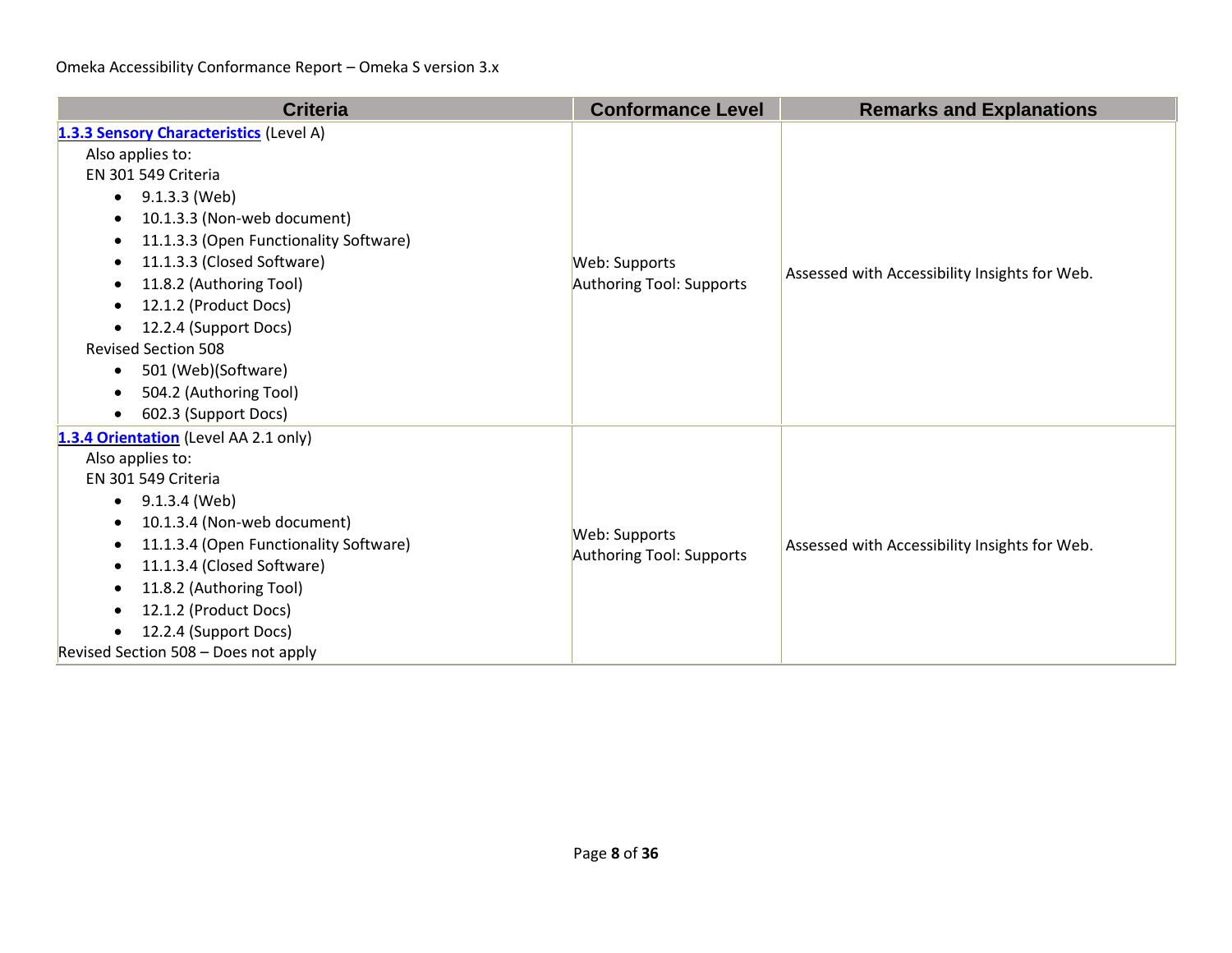| <b>Criteria</b>                                                                                                                                                                                                                                                                                                                                                                                                                                                                           | <b>Conformance Level</b>                  | <b>Remarks and Explanations</b>               |
|-------------------------------------------------------------------------------------------------------------------------------------------------------------------------------------------------------------------------------------------------------------------------------------------------------------------------------------------------------------------------------------------------------------------------------------------------------------------------------------------|-------------------------------------------|-----------------------------------------------|
| 1.3.3 Sensory Characteristics (Level A)<br>Also applies to:<br>EN 301 549 Criteria<br>9.1.3.3 (Web)<br>$\bullet$<br>10.1.3.3 (Non-web document)<br>11.1.3.3 (Open Functionality Software)<br>11.1.3.3 (Closed Software)<br>$\bullet$<br>11.8.2 (Authoring Tool)<br>$\bullet$<br>12.1.2 (Product Docs)<br>$\bullet$<br>12.2.4 (Support Docs)<br><b>Revised Section 508</b><br>501 (Web)(Software)<br>$\bullet$<br>504.2 (Authoring Tool)<br>$\bullet$<br>602.3 (Support Docs)<br>$\bullet$ | Web: Supports<br>Authoring Tool: Supports | Assessed with Accessibility Insights for Web. |
| 1.3.4 Orientation (Level AA 2.1 only)<br>Also applies to:<br>EN 301 549 Criteria<br>9.1.3.4 (Web)<br>$\bullet$<br>10.1.3.4 (Non-web document)<br>11.1.3.4 (Open Functionality Software)<br>$\bullet$<br>11.1.3.4 (Closed Software)<br>$\bullet$<br>11.8.2 (Authoring Tool)<br>$\bullet$<br>12.1.2 (Product Docs)<br>$\bullet$<br>12.2.4 (Support Docs)<br>٠<br>Revised Section 508 - Does not apply                                                                                       | Web: Supports<br>Authoring Tool: Supports | Assessed with Accessibility Insights for Web. |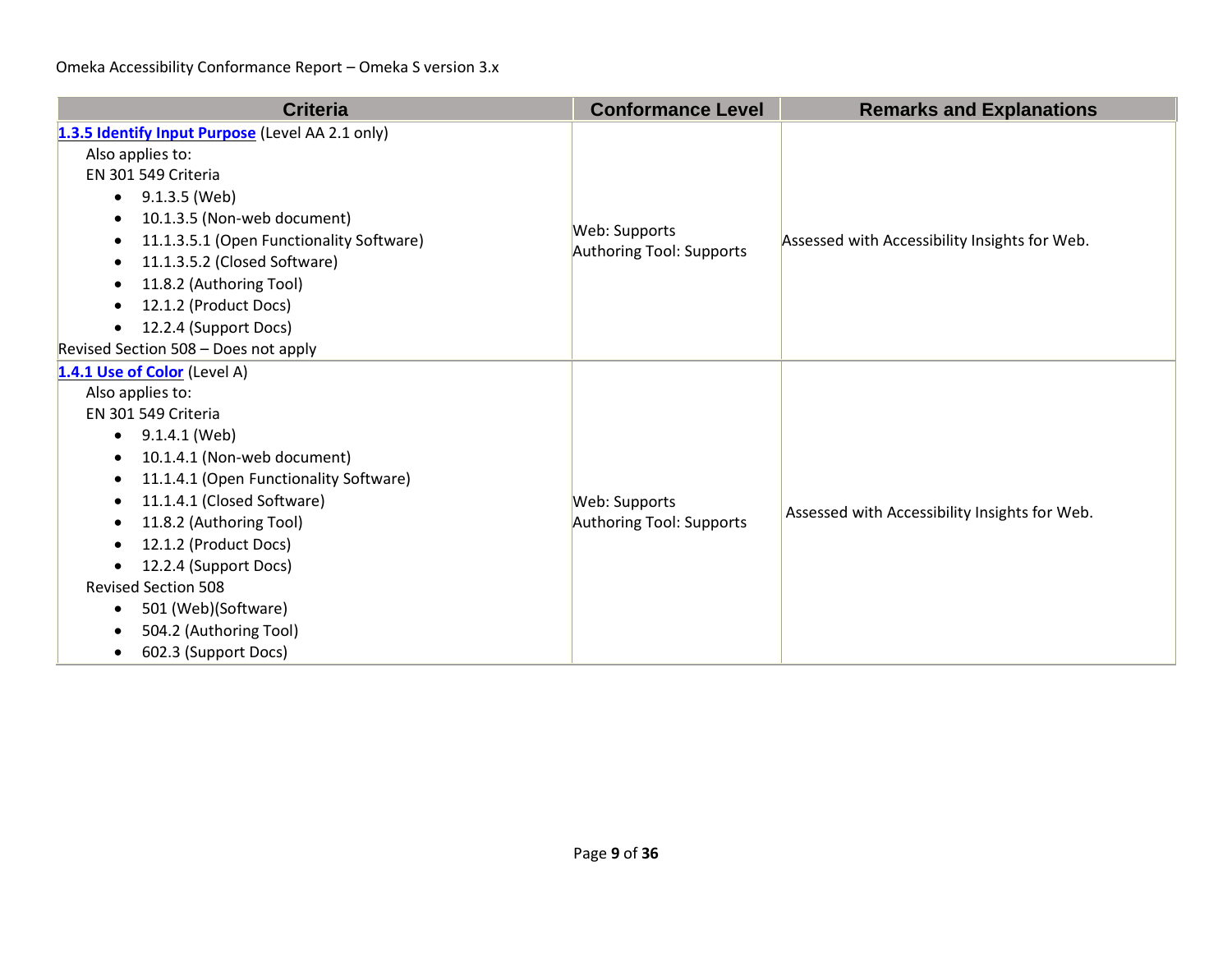| <b>Criteria</b>                                                                                                                                                                                                                                                                                                                                                                                                                         | <b>Conformance Level</b>                  | <b>Remarks and Explanations</b>               |
|-----------------------------------------------------------------------------------------------------------------------------------------------------------------------------------------------------------------------------------------------------------------------------------------------------------------------------------------------------------------------------------------------------------------------------------------|-------------------------------------------|-----------------------------------------------|
| 1.3.5 Identify Input Purpose (Level AA 2.1 only)<br>Also applies to:<br>EN 301 549 Criteria<br>9.1.3.5 (Web)<br>$\bullet$<br>10.1.3.5 (Non-web document)<br>11.1.3.5.1 (Open Functionality Software)<br>11.1.3.5.2 (Closed Software)<br>11.8.2 (Authoring Tool)<br>12.1.2 (Product Docs)<br>12.2.4 (Support Docs)<br>Revised Section 508 - Does not apply                                                                               | Web: Supports<br>Authoring Tool: Supports | Assessed with Accessibility Insights for Web. |
| 1.4.1 Use of Color (Level A)<br>Also applies to:<br>EN 301 549 Criteria<br>9.1.4.1 (Web)<br>$\bullet$<br>10.1.4.1 (Non-web document)<br>$\bullet$<br>11.1.4.1 (Open Functionality Software)<br>$\bullet$<br>11.1.4.1 (Closed Software)<br>11.8.2 (Authoring Tool)<br>12.1.2 (Product Docs)<br>12.2.4 (Support Docs)<br><b>Revised Section 508</b><br>501 (Web)(Software)<br>$\bullet$<br>504.2 (Authoring Tool)<br>602.3 (Support Docs) | Web: Supports<br>Authoring Tool: Supports | Assessed with Accessibility Insights for Web. |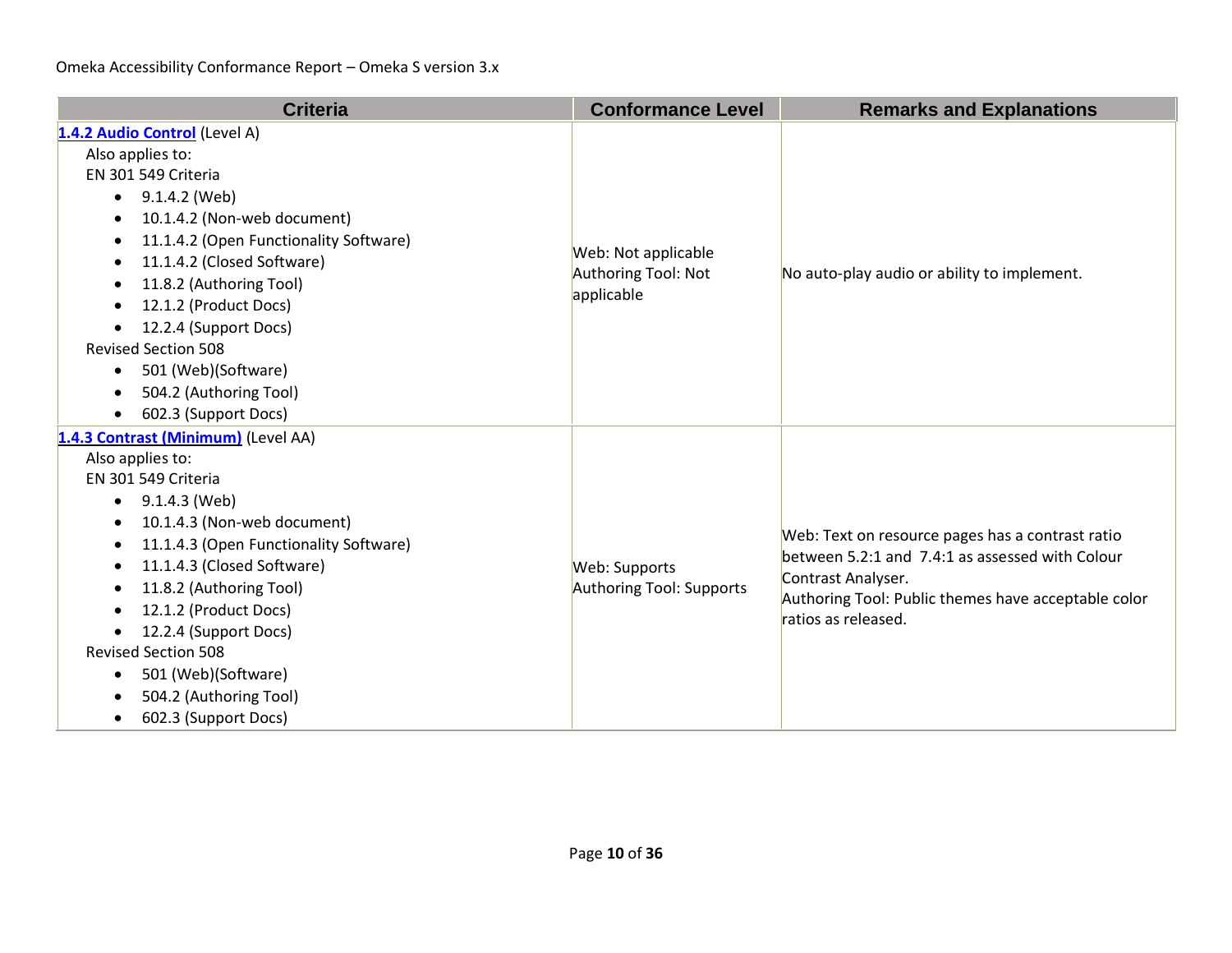| <b>Criteria</b>                                                                                                                                                                                                                                                                                                                                                                                                                                                  | <b>Conformance Level</b>                                 | <b>Remarks and Explanations</b>                                                                                                                                                                         |
|------------------------------------------------------------------------------------------------------------------------------------------------------------------------------------------------------------------------------------------------------------------------------------------------------------------------------------------------------------------------------------------------------------------------------------------------------------------|----------------------------------------------------------|---------------------------------------------------------------------------------------------------------------------------------------------------------------------------------------------------------|
| 1.4.2 Audio Control (Level A)<br>Also applies to:<br>EN 301 549 Criteria<br>9.1.4.2 (Web)<br>$\bullet$<br>10.1.4.2 (Non-web document)<br>11.1.4.2 (Open Functionality Software)<br>٠<br>11.1.4.2 (Closed Software)<br>$\bullet$<br>11.8.2 (Authoring Tool)<br>12.1.2 (Product Docs)<br>٠<br>12.2.4 (Support Docs)<br>$\bullet$<br><b>Revised Section 508</b><br>501 (Web)(Software)<br>$\bullet$<br>504.2 (Authoring Tool)<br>602.3 (Support Docs)<br>$\bullet$  | Web: Not applicable<br>Authoring Tool: Not<br>applicable | No auto-play audio or ability to implement.                                                                                                                                                             |
| 1.4.3 Contrast (Minimum) (Level AA)<br>Also applies to:<br>EN 301 549 Criteria<br>9.1.4.3 (Web)<br>$\bullet$<br>10.1.4.3 (Non-web document)<br>$\bullet$<br>11.1.4.3 (Open Functionality Software)<br>11.1.4.3 (Closed Software)<br>$\bullet$<br>11.8.2 (Authoring Tool)<br>٠<br>12.1.2 (Product Docs)<br>12.2.4 (Support Docs)<br><b>Revised Section 508</b><br>501 (Web)(Software)<br>$\bullet$<br>504.2 (Authoring Tool)<br>602.3 (Support Docs)<br>$\bullet$ | Web: Supports<br>Authoring Tool: Supports                | Web: Text on resource pages has a contrast ratio<br>between 5.2:1 and 7.4:1 as assessed with Colour<br>Contrast Analyser.<br>Authoring Tool: Public themes have acceptable color<br>ratios as released. |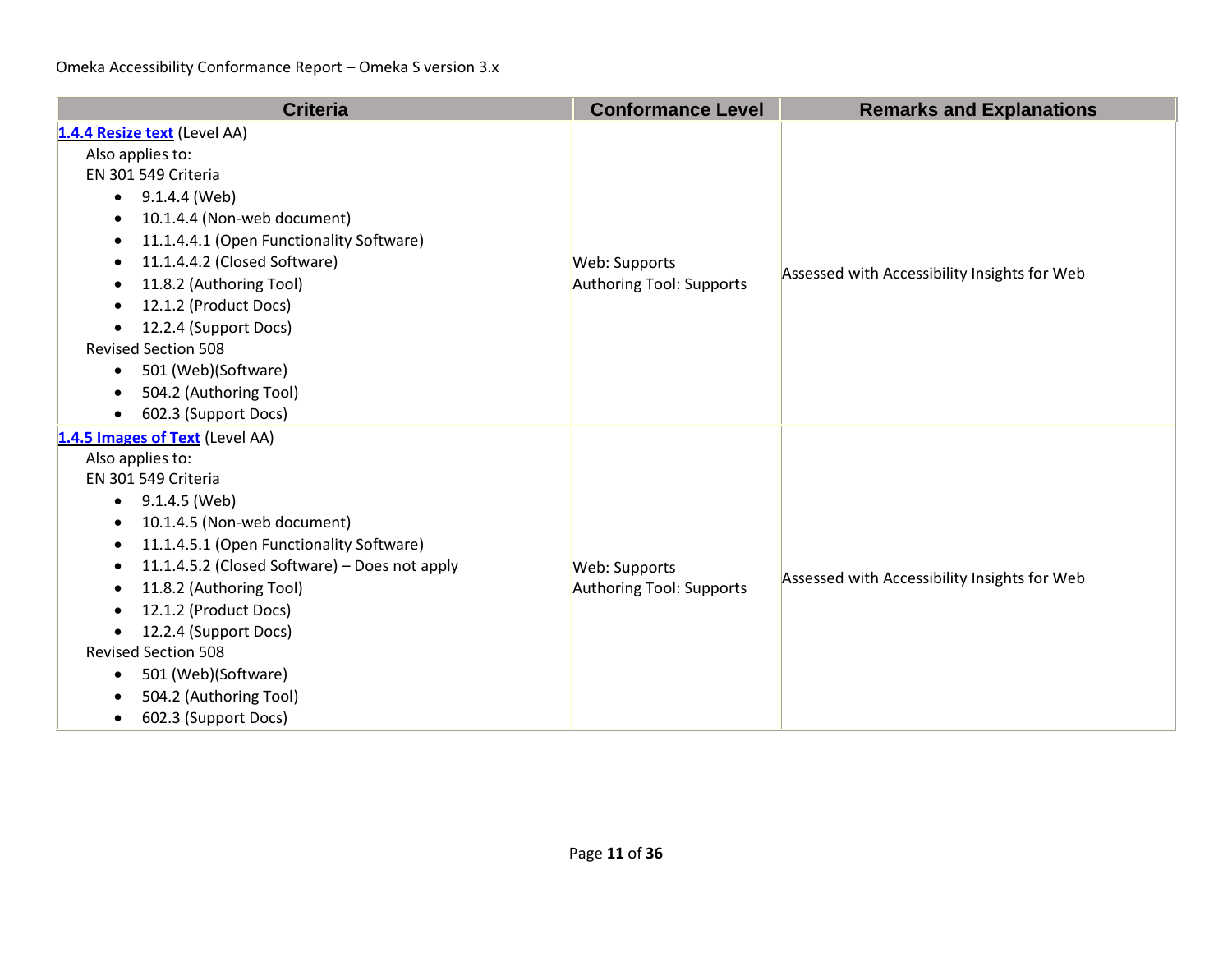| <b>Criteria</b>                                                                                                                                                                                                                                                                                                                                                                                                                                                                        | <b>Conformance Level</b>                  | <b>Remarks and Explanations</b>              |
|----------------------------------------------------------------------------------------------------------------------------------------------------------------------------------------------------------------------------------------------------------------------------------------------------------------------------------------------------------------------------------------------------------------------------------------------------------------------------------------|-------------------------------------------|----------------------------------------------|
| 1.4.4 Resize text (Level AA)<br>Also applies to:<br>EN 301 549 Criteria<br>$\bullet$ 9.1.4.4 (Web)<br>10.1.4.4 (Non-web document)<br>$\bullet$<br>11.1.4.4.1 (Open Functionality Software)<br>11.1.4.4.2 (Closed Software)<br>$\bullet$<br>11.8.2 (Authoring Tool)<br>$\bullet$<br>12.1.2 (Product Docs)<br>٠<br>12.2.4 (Support Docs)<br>$\bullet$<br><b>Revised Section 508</b><br>501 (Web)(Software)<br>$\bullet$<br>504.2 (Authoring Tool)<br>602.3 (Support Docs)<br>$\bullet$   | Web: Supports<br>Authoring Tool: Supports | Assessed with Accessibility Insights for Web |
| 1.4.5 Images of Text (Level AA)<br>Also applies to:<br>EN 301 549 Criteria<br>9.1.4.5 (Web)<br>$\bullet$<br>10.1.4.5 (Non-web document)<br>$\bullet$<br>11.1.4.5.1 (Open Functionality Software)<br>$\bullet$<br>11.1.4.5.2 (Closed Software) - Does not apply<br>$\bullet$<br>11.8.2 (Authoring Tool)<br>٠<br>12.1.2 (Product Docs)<br>12.2.4 (Support Docs)<br><b>Revised Section 508</b><br>501 (Web)(Software)<br>٠<br>504.2 (Authoring Tool)<br>602.3 (Support Docs)<br>$\bullet$ | Web: Supports<br>Authoring Tool: Supports | Assessed with Accessibility Insights for Web |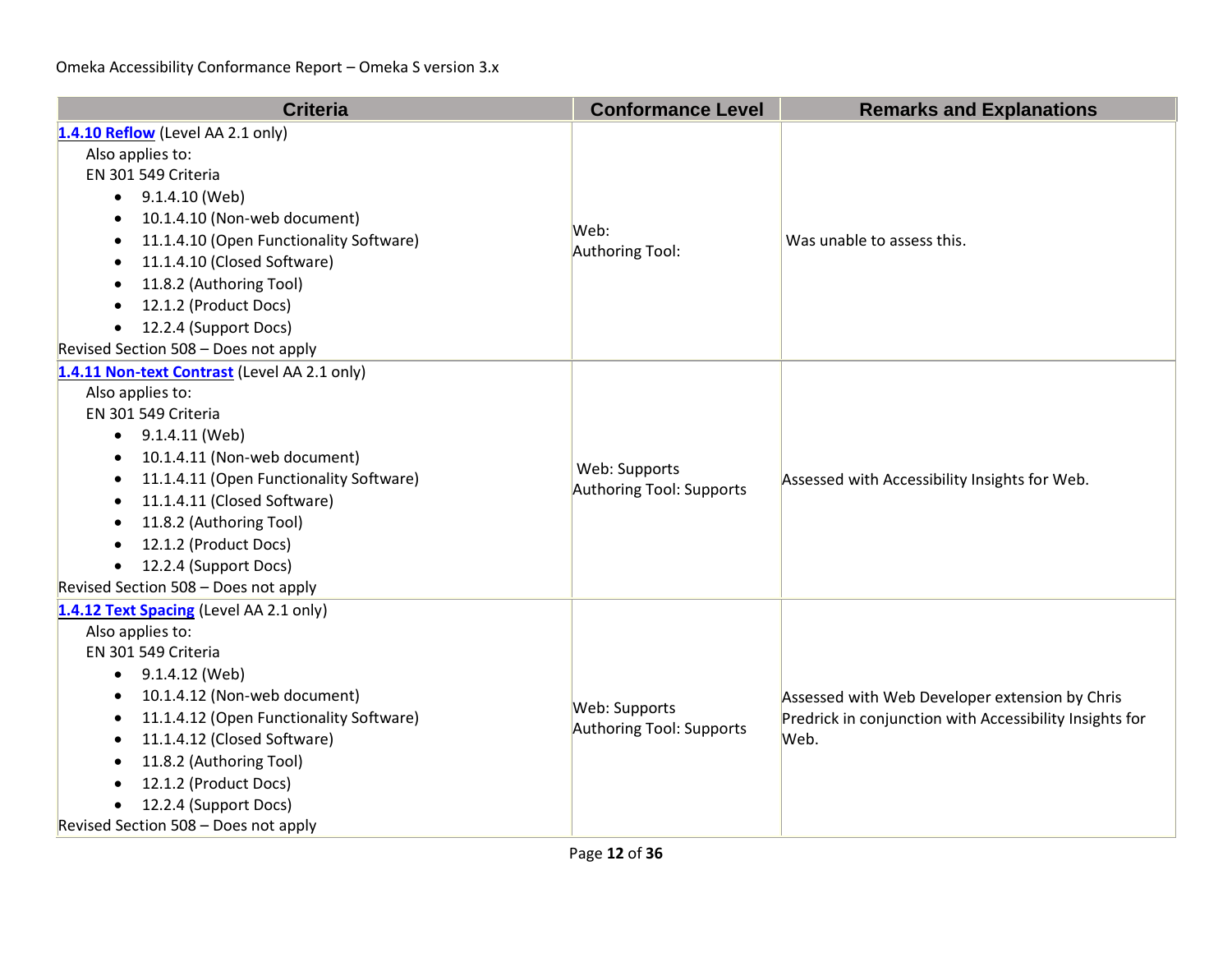| <b>Criteria</b>                                      | <b>Conformance Level</b> | <b>Remarks and Explanations</b>                                                                                   |
|------------------------------------------------------|--------------------------|-------------------------------------------------------------------------------------------------------------------|
| 1.4.10 Reflow (Level AA 2.1 only)                    |                          |                                                                                                                   |
| Also applies to:                                     |                          |                                                                                                                   |
| EN 301 549 Criteria                                  |                          |                                                                                                                   |
| 9.1.4.10 (Web)<br>$\bullet$                          |                          |                                                                                                                   |
| 10.1.4.10 (Non-web document)                         | Web:                     |                                                                                                                   |
| 11.1.4.10 (Open Functionality Software)<br>$\bullet$ | Authoring Tool:          | Was unable to assess this.                                                                                        |
| 11.1.4.10 (Closed Software)                          |                          |                                                                                                                   |
| 11.8.2 (Authoring Tool)                              |                          |                                                                                                                   |
| 12.1.2 (Product Docs)                                |                          |                                                                                                                   |
| 12.2.4 (Support Docs)<br>$\bullet$                   |                          |                                                                                                                   |
| Revised Section 508 - Does not apply                 |                          |                                                                                                                   |
| 1.4.11 Non-text Contrast (Level AA 2.1 only)         |                          |                                                                                                                   |
| Also applies to:                                     |                          |                                                                                                                   |
| EN 301 549 Criteria                                  |                          | Assessed with Accessibility Insights for Web.                                                                     |
| 9.1.4.11 (Web)<br>$\bullet$                          |                          |                                                                                                                   |
| 10.1.4.11 (Non-web document)                         | Web: Supports            |                                                                                                                   |
| 11.1.4.11 (Open Functionality Software)<br>$\bullet$ | Authoring Tool: Supports |                                                                                                                   |
| 11.1.4.11 (Closed Software)<br>$\bullet$             |                          |                                                                                                                   |
| 11.8.2 (Authoring Tool)                              |                          |                                                                                                                   |
| 12.1.2 (Product Docs)                                |                          |                                                                                                                   |
| 12.2.4 (Support Docs)<br>$\bullet$                   |                          |                                                                                                                   |
| Revised Section 508 - Does not apply                 |                          |                                                                                                                   |
| 1.4.12 Text Spacing (Level AA 2.1 only)              |                          |                                                                                                                   |
| Also applies to:                                     |                          |                                                                                                                   |
| EN 301 549 Criteria                                  |                          | Assessed with Web Developer extension by Chris<br>Predrick in conjunction with Accessibility Insights for<br>Web. |
| 9.1.4.12 (Web)<br>$\bullet$                          |                          |                                                                                                                   |
| 10.1.4.12 (Non-web document)                         | Web: Supports            |                                                                                                                   |
| 11.1.4.12 (Open Functionality Software)<br>$\bullet$ | Authoring Tool: Supports |                                                                                                                   |
| 11.1.4.12 (Closed Software)<br>$\bullet$             |                          |                                                                                                                   |
| 11.8.2 (Authoring Tool)<br>12.1.2 (Product Docs)     |                          |                                                                                                                   |
| 12.2.4 (Support Docs)                                |                          |                                                                                                                   |
| Revised Section 508 - Does not apply                 |                          |                                                                                                                   |
|                                                      |                          |                                                                                                                   |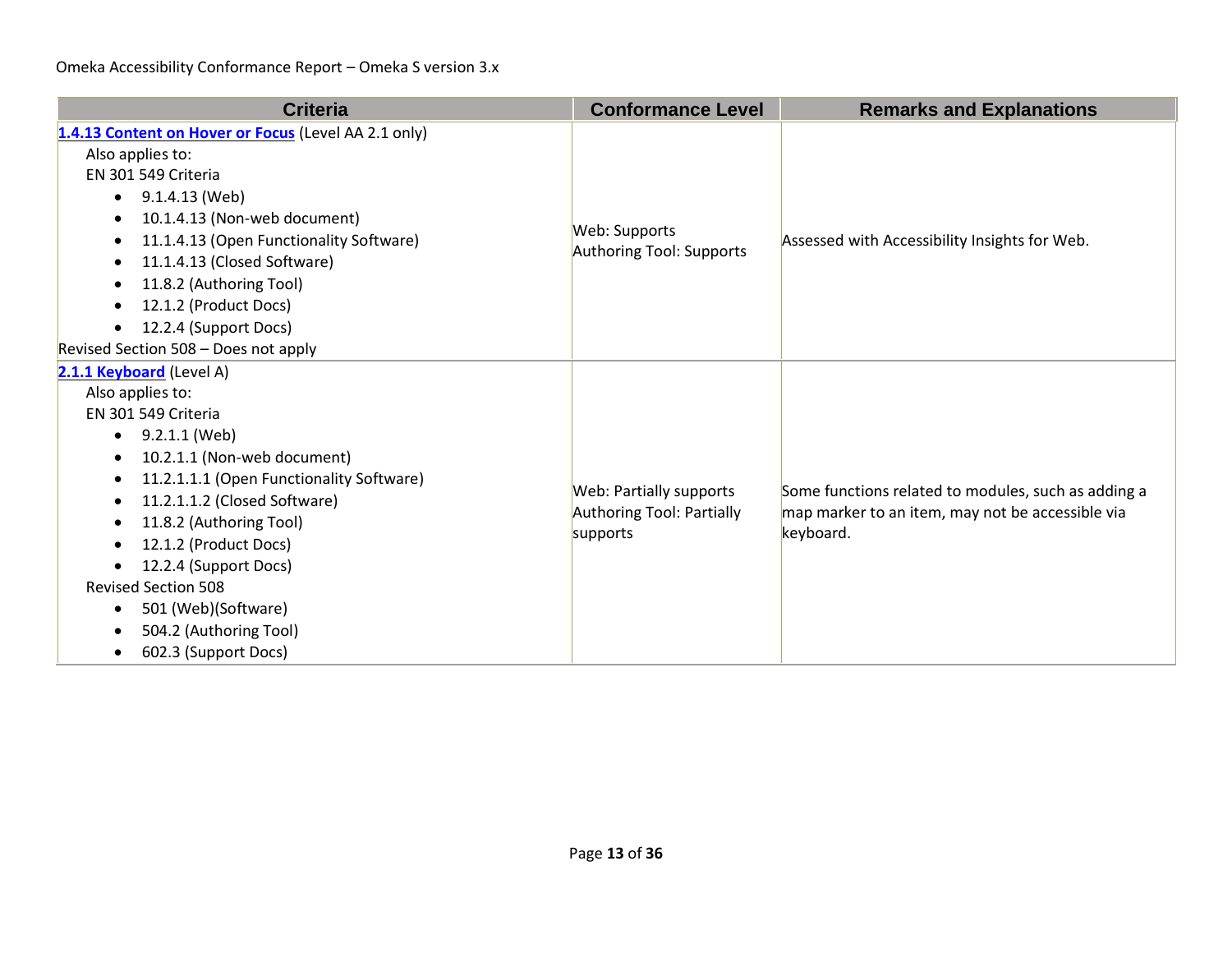| <b>Criteria</b>                                                                                                                                                                                                                                                                                                                                                                                                                                                   | <b>Conformance Level</b>                                         | <b>Remarks and Explanations</b>                                                                                      |
|-------------------------------------------------------------------------------------------------------------------------------------------------------------------------------------------------------------------------------------------------------------------------------------------------------------------------------------------------------------------------------------------------------------------------------------------------------------------|------------------------------------------------------------------|----------------------------------------------------------------------------------------------------------------------|
| 1.4.13 Content on Hover or Focus (Level AA 2.1 only)<br>Also applies to:<br>EN 301 549 Criteria<br>9.1.4.13 (Web)<br>$\bullet$<br>10.1.4.13 (Non-web document)<br>$\bullet$<br>11.1.4.13 (Open Functionality Software)<br>11.1.4.13 (Closed Software)<br>11.8.2 (Authoring Tool)<br>$\bullet$<br>12.1.2 (Product Docs)<br>12.2.4 (Support Docs)<br>$\bullet$<br>Revised Section 508 - Does not apply                                                              | Web: Supports<br>Authoring Tool: Supports                        | Assessed with Accessibility Insights for Web.                                                                        |
| 2.1.1 Keyboard (Level A)<br>Also applies to:<br>EN 301 549 Criteria<br>9.2.1.1 (Web)<br>$\bullet$<br>10.2.1.1 (Non-web document)<br>$\bullet$<br>11.2.1.1.1 (Open Functionality Software)<br>$\bullet$<br>11.2.1.1.2 (Closed Software)<br>$\bullet$<br>11.8.2 (Authoring Tool)<br>12.1.2 (Product Docs)<br>12.2.4 (Support Docs)<br><b>Revised Section 508</b><br>501 (Web)(Software)<br>$\bullet$<br>504.2 (Authoring Tool)<br>602.3 (Support Docs)<br>$\bullet$ | Web: Partially supports<br>Authoring Tool: Partially<br>supports | Some functions related to modules, such as adding a<br>map marker to an item, may not be accessible via<br>keyboard. |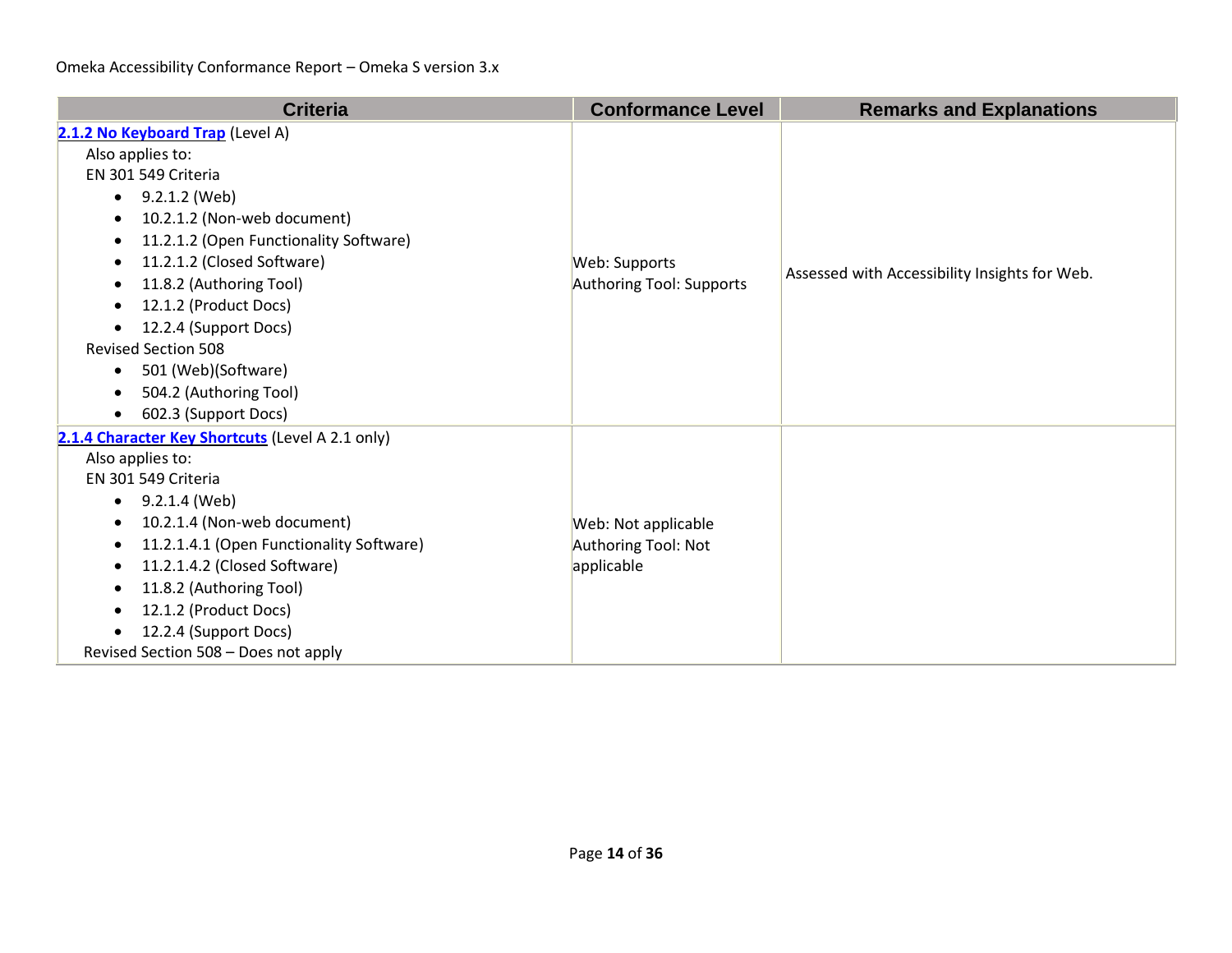| <b>Criteria</b>                                                                                                                                                                                                                                                                                                                                                                                                                                                       | <b>Conformance Level</b>                                 | <b>Remarks and Explanations</b>               |
|-----------------------------------------------------------------------------------------------------------------------------------------------------------------------------------------------------------------------------------------------------------------------------------------------------------------------------------------------------------------------------------------------------------------------------------------------------------------------|----------------------------------------------------------|-----------------------------------------------|
| 2.1.2 No Keyboard Trap (Level A)<br>Also applies to:<br>EN 301 549 Criteria<br>9.2.1.2 (Web)<br>$\bullet$<br>10.2.1.2 (Non-web document)<br>11.2.1.2 (Open Functionality Software)<br>11.2.1.2 (Closed Software)<br>$\bullet$<br>11.8.2 (Authoring Tool)<br>$\bullet$<br>12.1.2 (Product Docs)<br>$\bullet$<br>12.2.4 (Support Docs)<br><b>Revised Section 508</b><br>501 (Web)(Software)<br>$\bullet$<br>504.2 (Authoring Tool)<br>602.3 (Support Docs)<br>$\bullet$ | Web: Supports<br>Authoring Tool: Supports                | Assessed with Accessibility Insights for Web. |
| 2.1.4 Character Key Shortcuts (Level A 2.1 only)<br>Also applies to:<br>EN 301 549 Criteria<br>9.2.1.4 (Web)<br>$\bullet$<br>10.2.1.4 (Non-web document)<br>٠<br>11.2.1.4.1 (Open Functionality Software)<br>$\bullet$<br>11.2.1.4.2 (Closed Software)<br>$\bullet$<br>11.8.2 (Authoring Tool)<br>$\bullet$<br>12.1.2 (Product Docs)<br>12.2.4 (Support Docs)<br>Revised Section 508 - Does not apply                                                                 | Web: Not applicable<br>Authoring Tool: Not<br>applicable |                                               |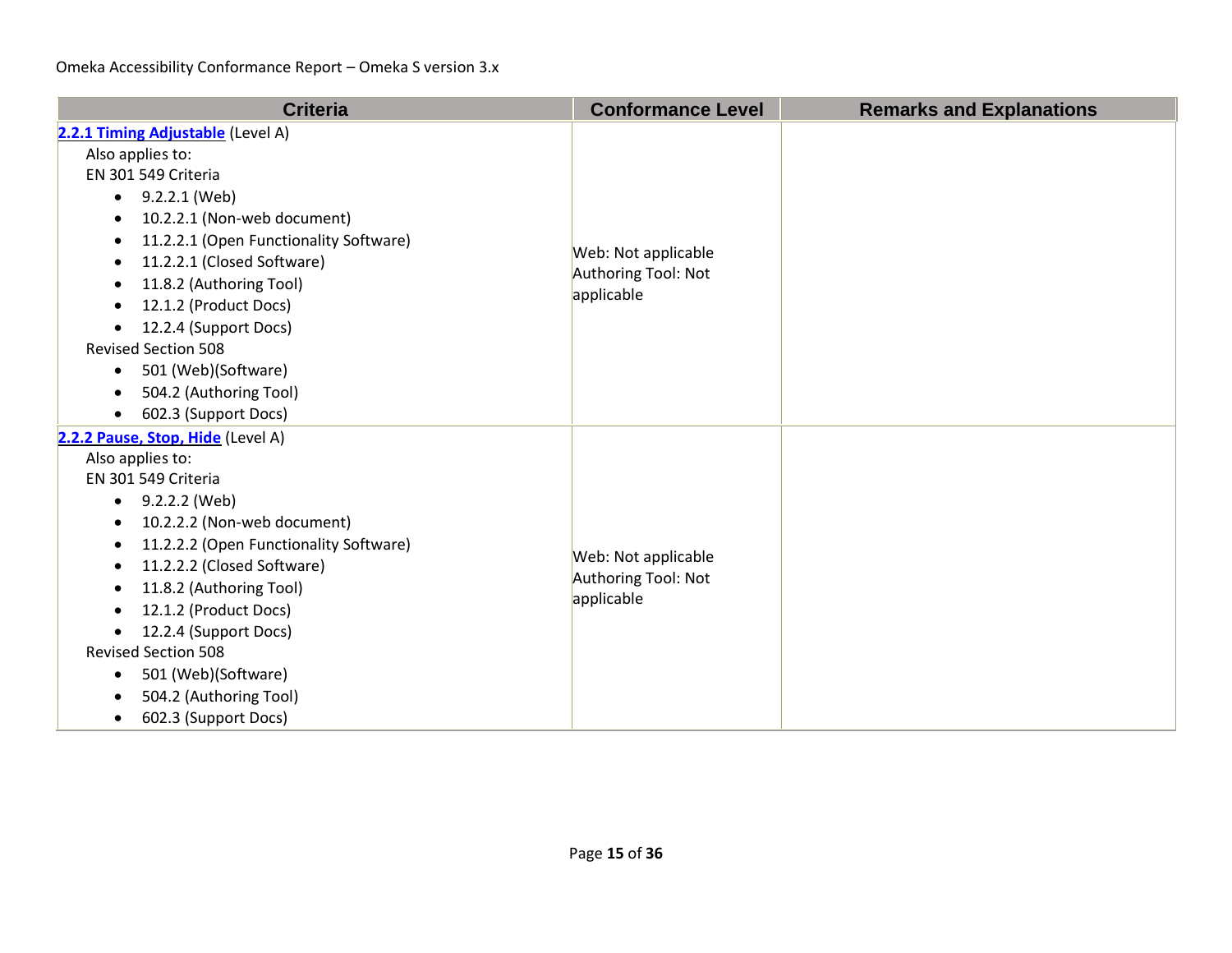| <b>Criteria</b>                                     | <b>Conformance Level</b>                   | <b>Remarks and Explanations</b> |
|-----------------------------------------------------|--------------------------------------------|---------------------------------|
| 2.2.1 Timing Adjustable (Level A)                   |                                            |                                 |
| Also applies to:                                    |                                            |                                 |
| EN 301 549 Criteria                                 |                                            |                                 |
| 9.2.2.1 (Web)<br>$\bullet$                          |                                            |                                 |
| 10.2.2.1 (Non-web document)<br>$\bullet$            |                                            |                                 |
| 11.2.2.1 (Open Functionality Software)<br>$\bullet$ |                                            |                                 |
| 11.2.2.1 (Closed Software)<br>$\bullet$             | Web: Not applicable<br>Authoring Tool: Not |                                 |
| 11.8.2 (Authoring Tool)<br>٠                        | applicable                                 |                                 |
| 12.1.2 (Product Docs)                               |                                            |                                 |
| 12.2.4 (Support Docs)<br>$\bullet$                  |                                            |                                 |
| <b>Revised Section 508</b>                          |                                            |                                 |
| 501 (Web)(Software)<br>$\bullet$                    |                                            |                                 |
| 504.2 (Authoring Tool)                              |                                            |                                 |
| 602.3 (Support Docs)<br>$\bullet$                   |                                            |                                 |
| 2.2.2 Pause, Stop, Hide (Level A)                   |                                            |                                 |
| Also applies to:                                    |                                            |                                 |
| EN 301 549 Criteria                                 |                                            |                                 |
| 9.2.2.2 (Web)<br>$\bullet$                          |                                            |                                 |
| 10.2.2.2 (Non-web document)                         |                                            |                                 |
| 11.2.2.2 (Open Functionality Software)<br>$\bullet$ | Web: Not applicable                        |                                 |
| 11.2.2.2 (Closed Software)<br>$\bullet$             | Authoring Tool: Not                        |                                 |
| 11.8.2 (Authoring Tool)                             | applicable                                 |                                 |
| 12.1.2 (Product Docs)<br>$\bullet$                  |                                            |                                 |
| 12.2.4 (Support Docs)                               |                                            |                                 |
| <b>Revised Section 508</b>                          |                                            |                                 |
| 501 (Web)(Software)<br>٠                            |                                            |                                 |
| 504.2 (Authoring Tool)                              |                                            |                                 |
| 602.3 (Support Docs)<br>$\bullet$                   |                                            |                                 |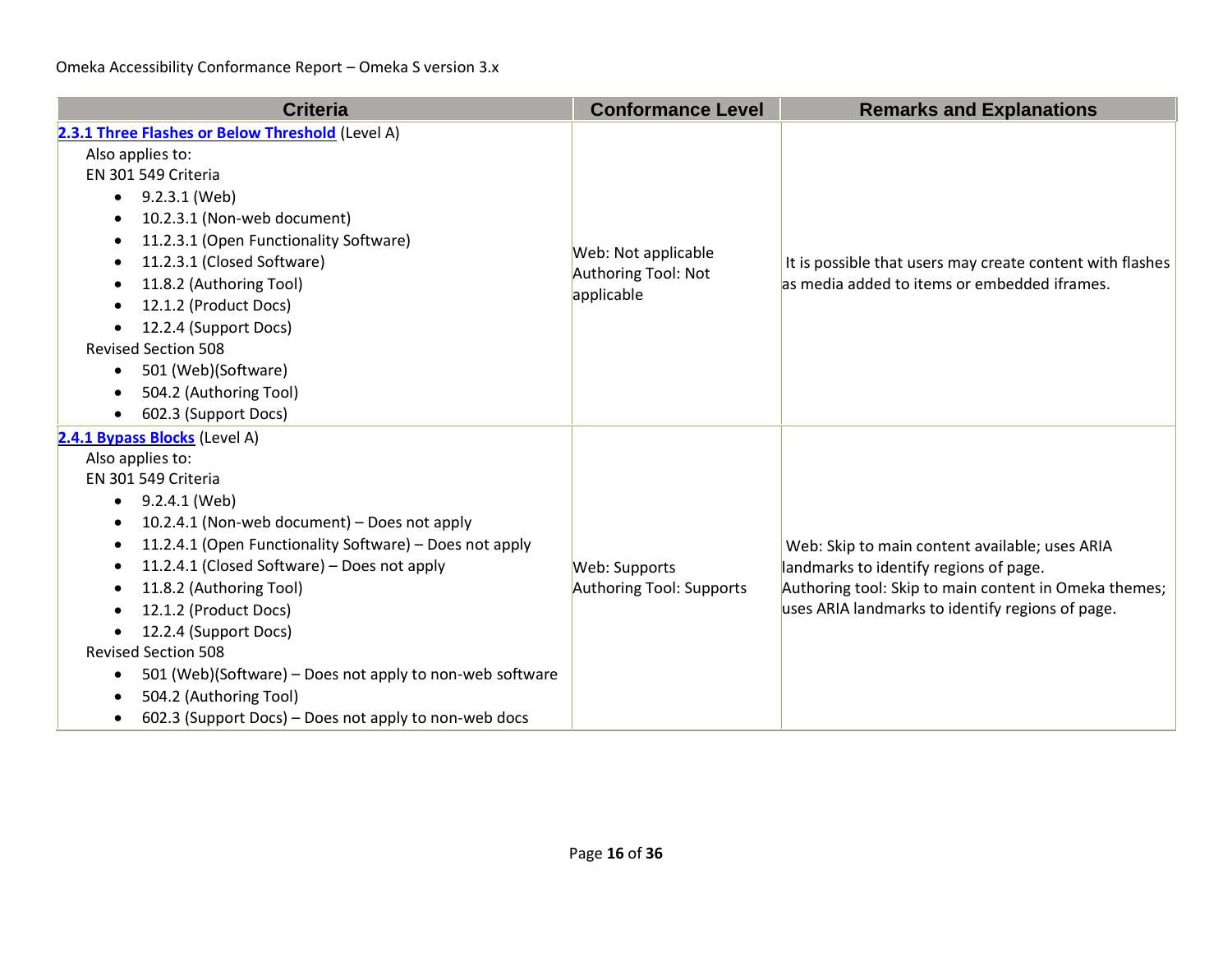| <b>Criteria</b>                                                                                                                                                                                                                                                                                                                                                                                                                                                                                                                      | <b>Conformance Level</b>                                 | <b>Remarks and Explanations</b>                                                                                                                                                                       |
|--------------------------------------------------------------------------------------------------------------------------------------------------------------------------------------------------------------------------------------------------------------------------------------------------------------------------------------------------------------------------------------------------------------------------------------------------------------------------------------------------------------------------------------|----------------------------------------------------------|-------------------------------------------------------------------------------------------------------------------------------------------------------------------------------------------------------|
| 2.3.1 Three Flashes or Below Threshold (Level A)<br>Also applies to:<br>EN 301 549 Criteria<br>9.2.3.1 (Web)<br>$\bullet$<br>10.2.3.1 (Non-web document)<br>٠<br>11.2.3.1 (Open Functionality Software)<br>11.2.3.1 (Closed Software)<br>11.8.2 (Authoring Tool)<br>12.1.2 (Product Docs)<br>12.2.4 (Support Docs)<br><b>Revised Section 508</b><br>501 (Web)(Software)<br>$\bullet$<br>504.2 (Authoring Tool)<br>602.3 (Support Docs)                                                                                               | Web: Not applicable<br>Authoring Tool: Not<br>applicable | It is possible that users may create content with flashes<br>as media added to items or embedded iframes.                                                                                             |
| 2.4.1 Bypass Blocks (Level A)<br>Also applies to:<br>EN 301 549 Criteria<br>9.2.4.1 (Web)<br>$\bullet$<br>10.2.4.1 (Non-web document) - Does not apply<br>٠<br>11.2.4.1 (Open Functionality Software) - Does not apply<br>11.2.4.1 (Closed Software) - Does not apply<br>11.8.2 (Authoring Tool)<br>12.1.2 (Product Docs)<br>12.2.4 (Support Docs)<br><b>Revised Section 508</b><br>501 (Web)(Software) – Does not apply to non-web software<br>٠<br>504.2 (Authoring Tool)<br>602.3 (Support Docs) – Does not apply to non-web docs | Web: Supports<br>Authoring Tool: Supports                | Web: Skip to main content available; uses ARIA<br>landmarks to identify regions of page.<br>Authoring tool: Skip to main content in Omeka themes;<br>uses ARIA landmarks to identify regions of page. |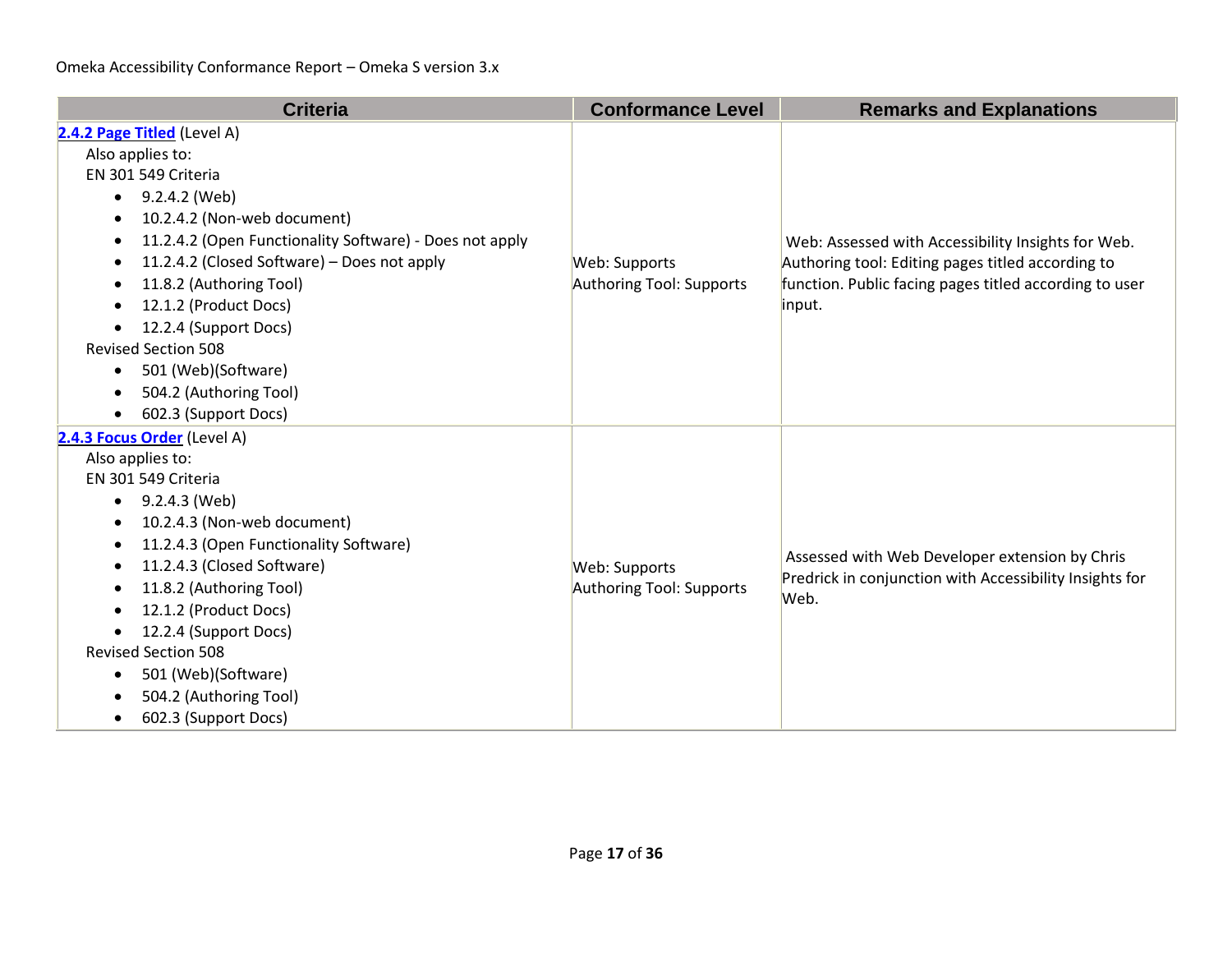| <b>Criteria</b>                                          | <b>Conformance Level</b> | <b>Remarks and Explanations</b>                                                                                   |
|----------------------------------------------------------|--------------------------|-------------------------------------------------------------------------------------------------------------------|
| 2.4.2 Page Titled (Level A)                              |                          |                                                                                                                   |
| Also applies to:                                         |                          | Web: Assessed with Accessibility Insights for Web.                                                                |
| EN 301 549 Criteria                                      |                          |                                                                                                                   |
| 9.2.4.2 (Web)<br>$\bullet$                               |                          |                                                                                                                   |
| 10.2.4.2 (Non-web document)<br>$\bullet$                 |                          |                                                                                                                   |
| 11.2.4.2 (Open Functionality Software) - Does not apply  |                          |                                                                                                                   |
| 11.2.4.2 (Closed Software) - Does not apply<br>$\bullet$ | Web: Supports            | Authoring tool: Editing pages titled according to                                                                 |
| 11.8.2 (Authoring Tool)<br>$\bullet$                     | Authoring Tool: Supports | function. Public facing pages titled according to user                                                            |
| 12.1.2 (Product Docs)                                    |                          | input.                                                                                                            |
| 12.2.4 (Support Docs)                                    |                          |                                                                                                                   |
| <b>Revised Section 508</b>                               |                          |                                                                                                                   |
| 501 (Web)(Software)<br>$\bullet$                         |                          |                                                                                                                   |
| 504.2 (Authoring Tool)                                   |                          |                                                                                                                   |
| 602.3 (Support Docs)                                     |                          |                                                                                                                   |
| 2.4.3 Focus Order (Level A)                              |                          |                                                                                                                   |
| Also applies to:                                         |                          |                                                                                                                   |
| EN 301 549 Criteria                                      |                          | Assessed with Web Developer extension by Chris<br>Predrick in conjunction with Accessibility Insights for<br>Web. |
| 9.2.4.3 (Web)<br>$\bullet$                               |                          |                                                                                                                   |
| 10.2.4.3 (Non-web document)<br>$\bullet$                 |                          |                                                                                                                   |
| 11.2.4.3 (Open Functionality Software)<br>$\bullet$      |                          |                                                                                                                   |
| 11.2.4.3 (Closed Software)<br>$\bullet$                  | Web: Supports            |                                                                                                                   |
| 11.8.2 (Authoring Tool)                                  | Authoring Tool: Supports |                                                                                                                   |
| 12.1.2 (Product Docs)                                    |                          |                                                                                                                   |
| 12.2.4 (Support Docs)                                    |                          |                                                                                                                   |
| <b>Revised Section 508</b>                               |                          |                                                                                                                   |
| 501 (Web)(Software)<br>٠                                 |                          |                                                                                                                   |
| 504.2 (Authoring Tool)                                   |                          |                                                                                                                   |
| 602.3 (Support Docs)<br>$\bullet$                        |                          |                                                                                                                   |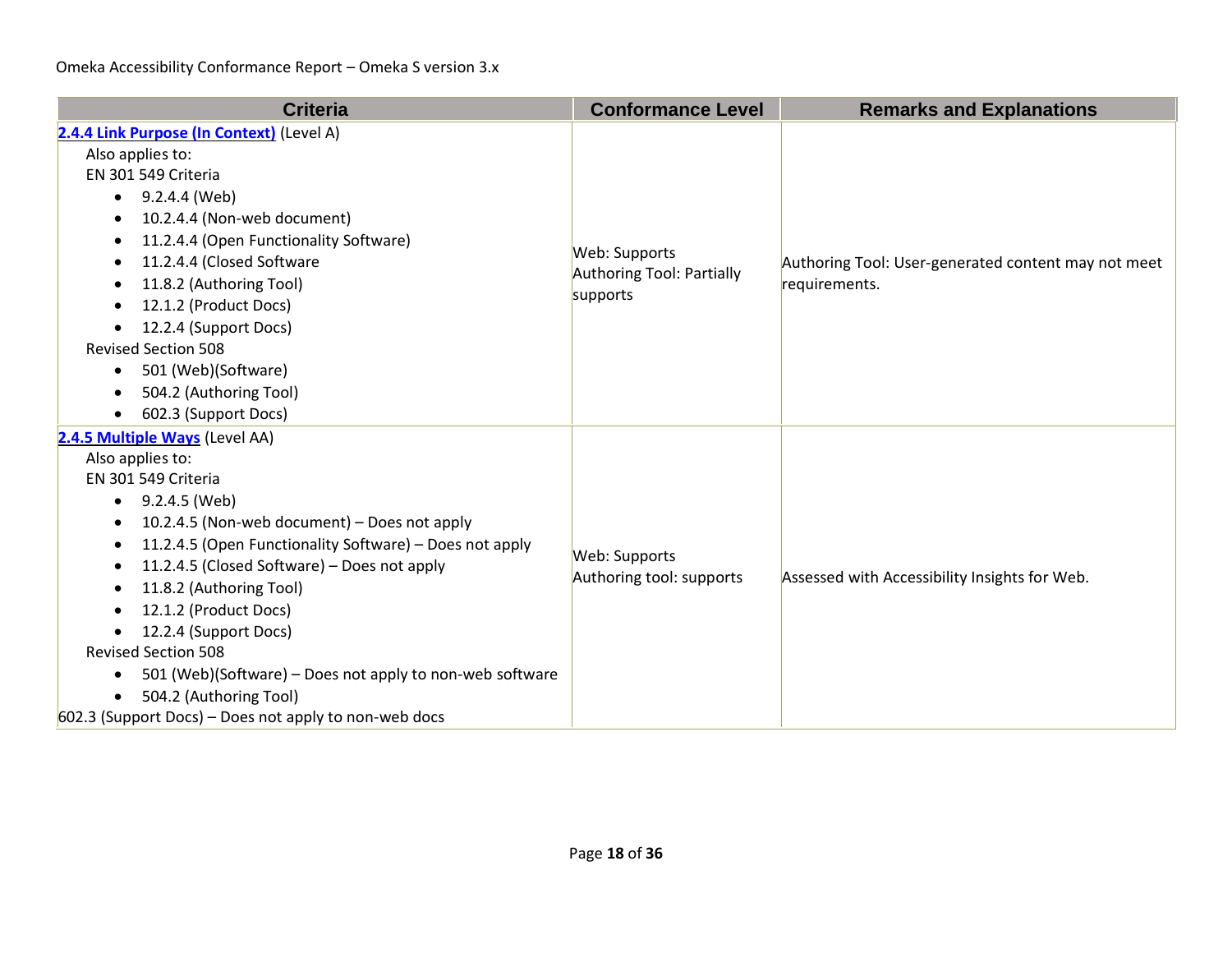| <b>Criteria</b>                                                                                                                                                                                                                                                                                                                                                                                                                                                                                                                                 | <b>Conformance Level</b>                                      | <b>Remarks and Explanations</b>                                      |
|-------------------------------------------------------------------------------------------------------------------------------------------------------------------------------------------------------------------------------------------------------------------------------------------------------------------------------------------------------------------------------------------------------------------------------------------------------------------------------------------------------------------------------------------------|---------------------------------------------------------------|----------------------------------------------------------------------|
| 2.4.4 Link Purpose (In Context) (Level A)<br>Also applies to:<br>EN 301 549 Criteria<br>9.2.4.4 (Web)<br>$\bullet$<br>10.2.4.4 (Non-web document)<br>٠<br>11.2.4.4 (Open Functionality Software)<br>11.2.4.4 (Closed Software<br>11.8.2 (Authoring Tool)<br>12.1.2 (Product Docs)<br>12.2.4 (Support Docs)<br>$\bullet$<br><b>Revised Section 508</b><br>501 (Web)(Software)<br>$\bullet$<br>504.2 (Authoring Tool)<br>602.3 (Support Docs)                                                                                                     | Web: Supports<br><b>Authoring Tool: Partially</b><br>supports | Authoring Tool: User-generated content may not meet<br>requirements. |
| 2.4.5 Multiple Ways (Level AA)<br>Also applies to:<br>EN 301 549 Criteria<br>9.2.4.5 (Web)<br>٠<br>10.2.4.5 (Non-web document) - Does not apply<br>٠<br>11.2.4.5 (Open Functionality Software) - Does not apply<br>٠<br>11.2.4.5 (Closed Software) - Does not apply<br>11.8.2 (Authoring Tool)<br>12.1.2 (Product Docs)<br>12.2.4 (Support Docs)<br>$\bullet$<br><b>Revised Section 508</b><br>501 (Web)(Software) – Does not apply to non-web software<br>٠<br>504.2 (Authoring Tool)<br>602.3 (Support Docs) - Does not apply to non-web docs | Web: Supports<br>Authoring tool: supports                     | Assessed with Accessibility Insights for Web.                        |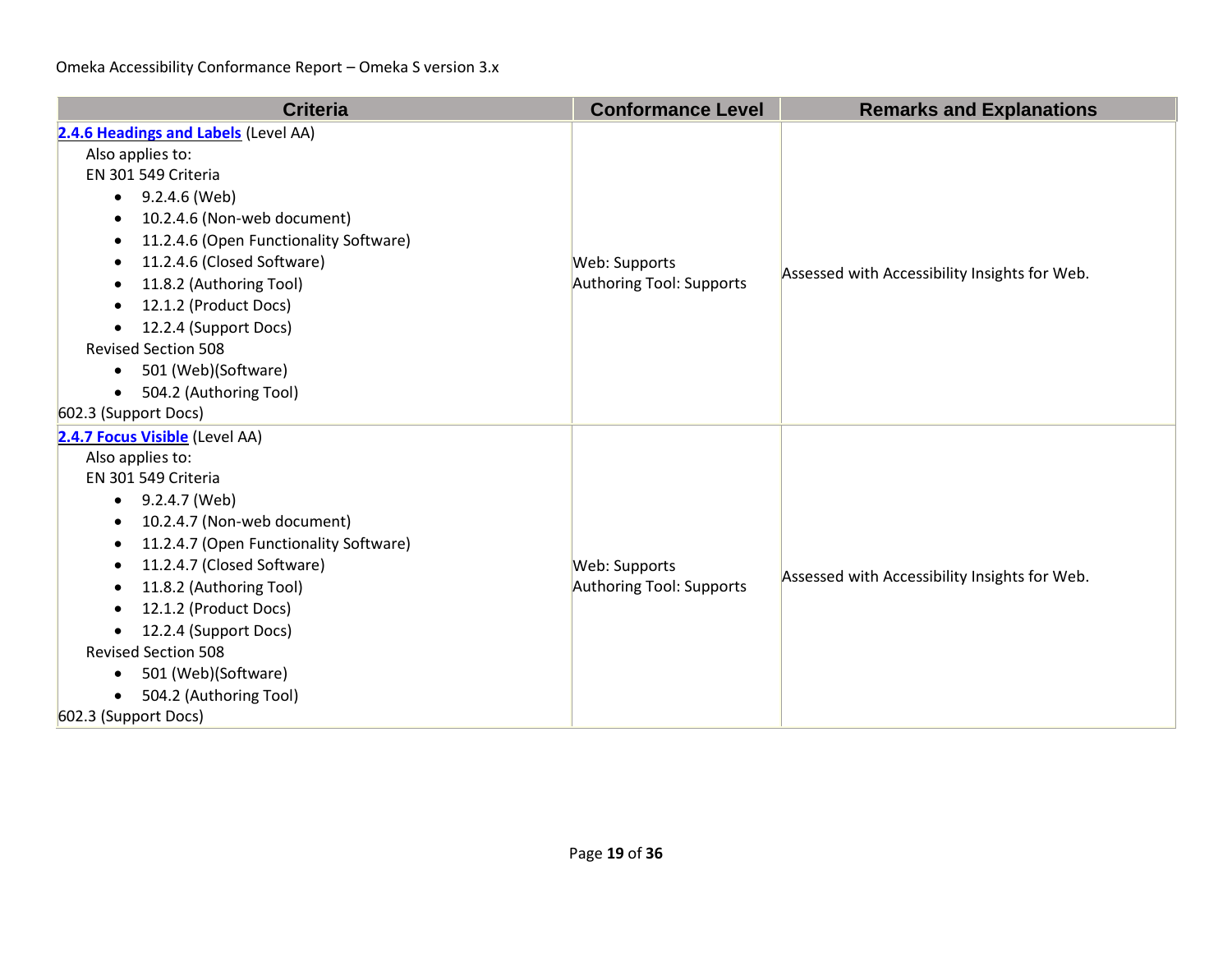| <b>Criteria</b>                          | <b>Conformance Level</b> | <b>Remarks and Explanations</b>               |
|------------------------------------------|--------------------------|-----------------------------------------------|
| 2.4.6 Headings and Labels (Level AA)     |                          |                                               |
| Also applies to:                         |                          | Assessed with Accessibility Insights for Web. |
| EN 301 549 Criteria                      |                          |                                               |
| 9.2.4.6 (Web)<br>$\bullet$               |                          |                                               |
| 10.2.4.6 (Non-web document)<br>$\bullet$ |                          |                                               |
| 11.2.4.6 (Open Functionality Software)   |                          |                                               |
| 11.2.4.6 (Closed Software)               | Web: Supports            |                                               |
| 11.8.2 (Authoring Tool)                  | Authoring Tool: Supports |                                               |
| 12.1.2 (Product Docs)                    |                          |                                               |
| 12.2.4 (Support Docs)<br>$\bullet$       |                          |                                               |
| <b>Revised Section 508</b>               |                          |                                               |
| 501 (Web)(Software)<br>$\bullet$         |                          |                                               |
| 504.2 (Authoring Tool)<br>$\bullet$      |                          |                                               |
| 602.3 (Support Docs)                     |                          |                                               |
| 2.4.7 Focus Visible (Level AA)           |                          |                                               |
| Also applies to:                         |                          |                                               |
| EN 301 549 Criteria                      |                          | Assessed with Accessibility Insights for Web. |
| 9.2.4.7 (Web)<br>$\bullet$               |                          |                                               |
| 10.2.4.7 (Non-web document)<br>$\bullet$ |                          |                                               |
| 11.2.4.7 (Open Functionality Software)   |                          |                                               |
| 11.2.4.7 (Closed Software)<br>$\bullet$  | Web: Supports            |                                               |
| 11.8.2 (Authoring Tool)                  | Authoring Tool: Supports |                                               |
| 12.1.2 (Product Docs)                    |                          |                                               |
| 12.2.4 (Support Docs)                    |                          |                                               |
| <b>Revised Section 508</b>               |                          |                                               |
| 501 (Web)(Software)<br>٠                 |                          |                                               |
| 504.2 (Authoring Tool)                   |                          |                                               |
| 602.3 (Support Docs)                     |                          |                                               |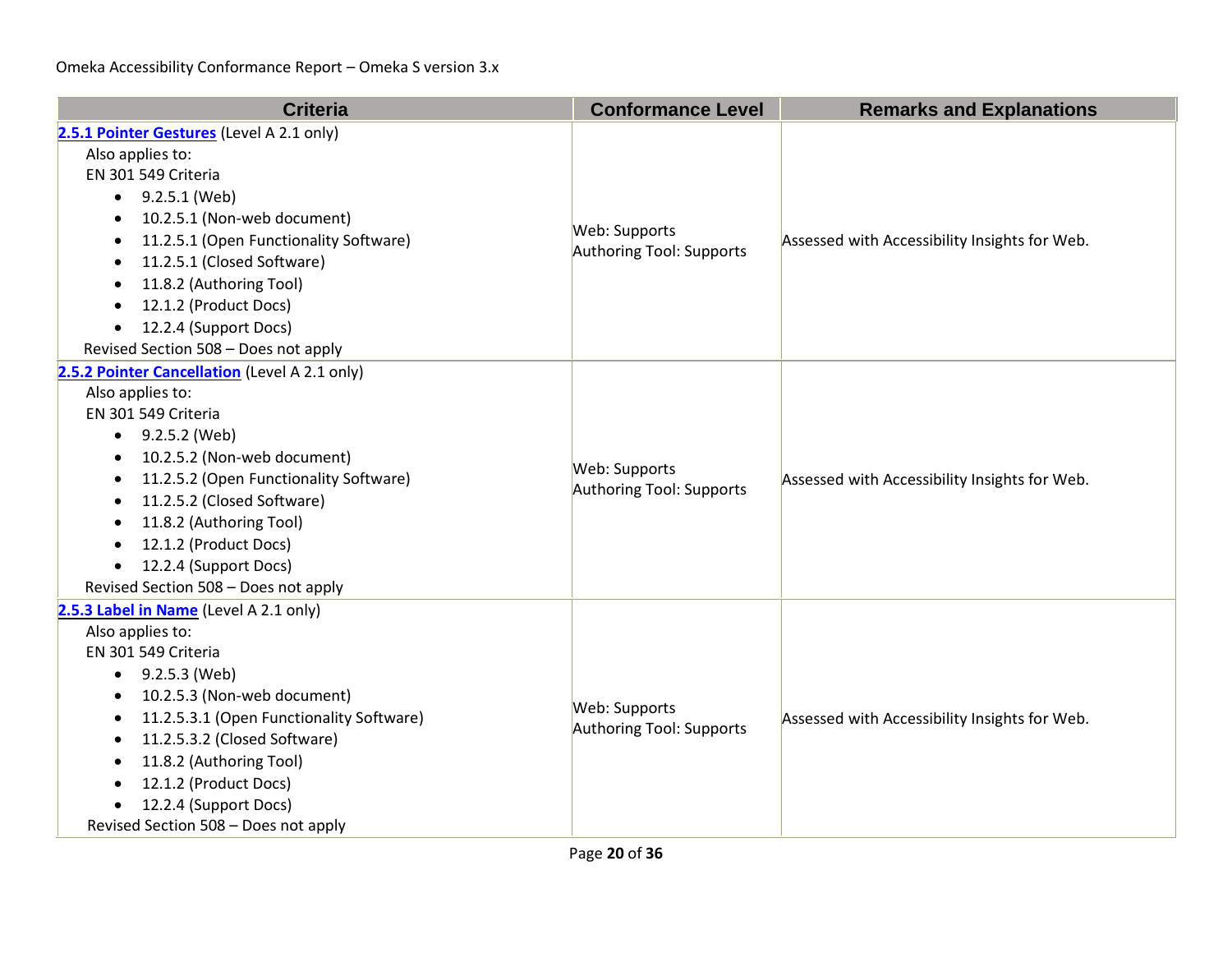| <b>Criteria</b>                                       | <b>Conformance Level</b> | <b>Remarks and Explanations</b>               |
|-------------------------------------------------------|--------------------------|-----------------------------------------------|
| 2.5.1 Pointer Gestures (Level A 2.1 only)             |                          |                                               |
| Also applies to:                                      |                          |                                               |
| EN 301 549 Criteria                                   |                          |                                               |
| 9.2.5.1 (Web)<br>٠                                    |                          |                                               |
| 10.2.5.1 (Non-web document)                           | Web: Supports            |                                               |
| 11.2.5.1 (Open Functionality Software)<br>$\bullet$   | Authoring Tool: Supports | Assessed with Accessibility Insights for Web. |
| 11.2.5.1 (Closed Software)                            |                          |                                               |
| 11.8.2 (Authoring Tool)                               |                          |                                               |
| 12.1.2 (Product Docs)                                 |                          |                                               |
| 12.2.4 (Support Docs)<br>$\bullet$                    |                          |                                               |
| Revised Section 508 - Does not apply                  |                          |                                               |
| 2.5.2 Pointer Cancellation (Level A 2.1 only)         |                          |                                               |
| Also applies to:                                      |                          |                                               |
| EN 301 549 Criteria                                   |                          | Assessed with Accessibility Insights for Web. |
| 9.2.5.2 (Web)<br>$\bullet$                            |                          |                                               |
| 10.2.5.2 (Non-web document)                           | Web: Supports            |                                               |
| 11.2.5.2 (Open Functionality Software)<br>٠           | Authoring Tool: Supports |                                               |
| 11.2.5.2 (Closed Software)<br>$\bullet$               |                          |                                               |
| 11.8.2 (Authoring Tool)                               |                          |                                               |
| 12.1.2 (Product Docs)                                 |                          |                                               |
| 12.2.4 (Support Docs)<br>$\bullet$                    |                          |                                               |
| Revised Section 508 - Does not apply                  |                          |                                               |
| 2.5.3 Label in Name (Level A 2.1 only)                |                          |                                               |
| Also applies to:                                      |                          |                                               |
| EN 301 549 Criteria                                   |                          |                                               |
| 9.2.5.3 (Web)<br>$\bullet$                            |                          |                                               |
| 10.2.5.3 (Non-web document)                           | Web: Supports            |                                               |
| 11.2.5.3.1 (Open Functionality Software)<br>$\bullet$ | Authoring Tool: Supports | Assessed with Accessibility Insights for Web. |
| 11.2.5.3.2 (Closed Software)<br>٠                     |                          |                                               |
| 11.8.2 (Authoring Tool)                               |                          |                                               |
| 12.1.2 (Product Docs)                                 |                          |                                               |
| 12.2.4 (Support Docs)                                 |                          |                                               |
| Revised Section 508 - Does not apply                  |                          |                                               |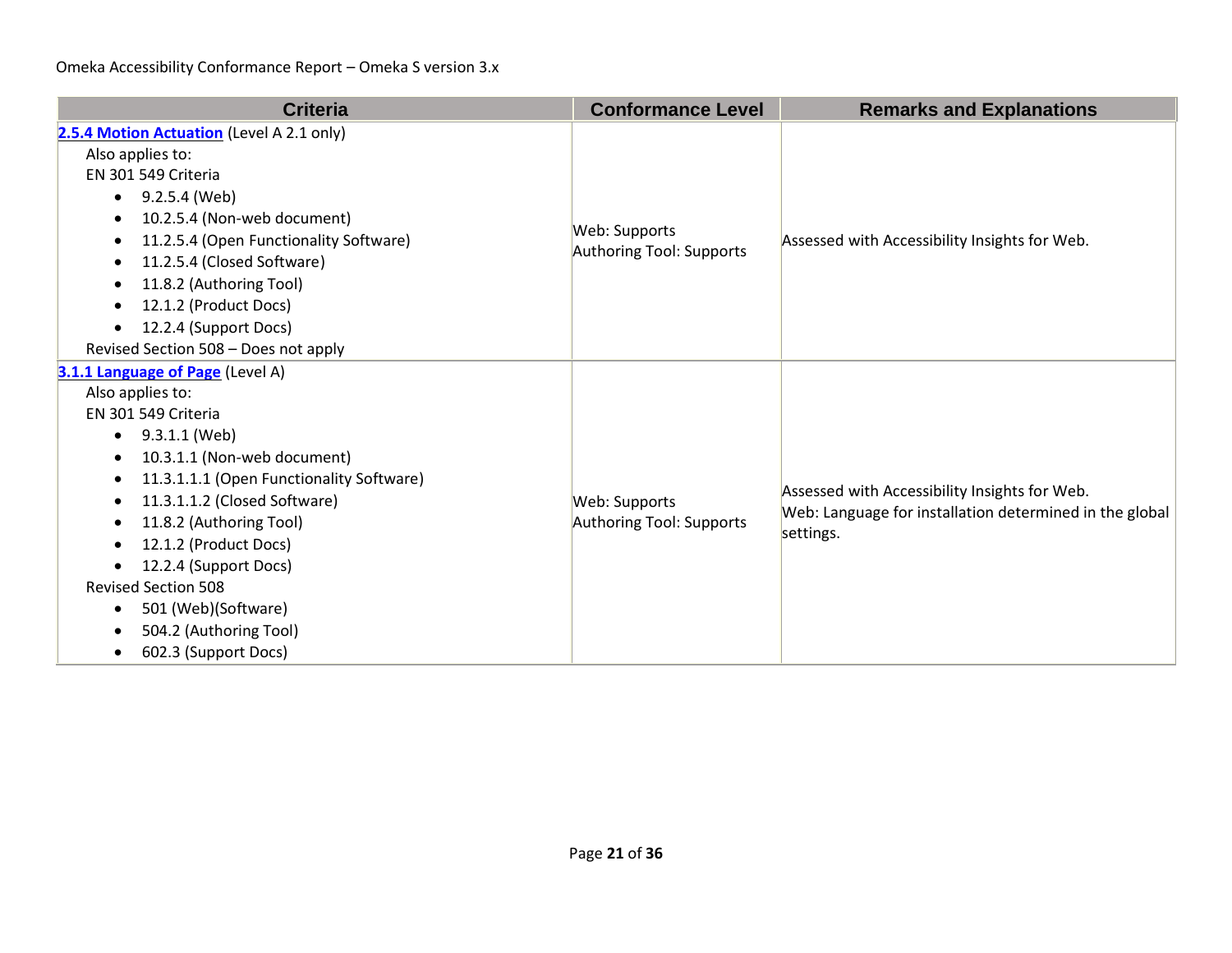| <b>Criteria</b>                                                                                                                                                                                                                                                                                                                                                                                                                                 | <b>Conformance Level</b>                  | <b>Remarks and Explanations</b>                                                                                       |
|-------------------------------------------------------------------------------------------------------------------------------------------------------------------------------------------------------------------------------------------------------------------------------------------------------------------------------------------------------------------------------------------------------------------------------------------------|-------------------------------------------|-----------------------------------------------------------------------------------------------------------------------|
| 2.5.4 Motion Actuation (Level A 2.1 only)<br>Also applies to:<br>EN 301 549 Criteria<br>• $9.2.5.4$ (Web)<br>10.2.5.4 (Non-web document)<br>11.2.5.4 (Open Functionality Software)<br>11.2.5.4 (Closed Software)<br>11.8.2 (Authoring Tool)<br>$\bullet$<br>12.1.2 (Product Docs)<br>12.2.4 (Support Docs)<br>$\bullet$<br>Revised Section 508 - Does not apply                                                                                 | Web: Supports<br>Authoring Tool: Supports | Assessed with Accessibility Insights for Web.                                                                         |
| 3.1.1 Language of Page (Level A)<br>Also applies to:<br>EN 301 549 Criteria<br>9.3.1.1 (Web)<br>$\bullet$<br>10.3.1.1 (Non-web document)<br>$\bullet$<br>11.3.1.1.1 (Open Functionality Software)<br>$\bullet$<br>11.3.1.1.2 (Closed Software)<br>11.8.2 (Authoring Tool)<br>12.1.2 (Product Docs)<br>12.2.4 (Support Docs)<br><b>Revised Section 508</b><br>501 (Web)(Software)<br>$\bullet$<br>504.2 (Authoring Tool)<br>602.3 (Support Docs) | Web: Supports<br>Authoring Tool: Supports | Assessed with Accessibility Insights for Web.<br>Web: Language for installation determined in the global<br>settings. |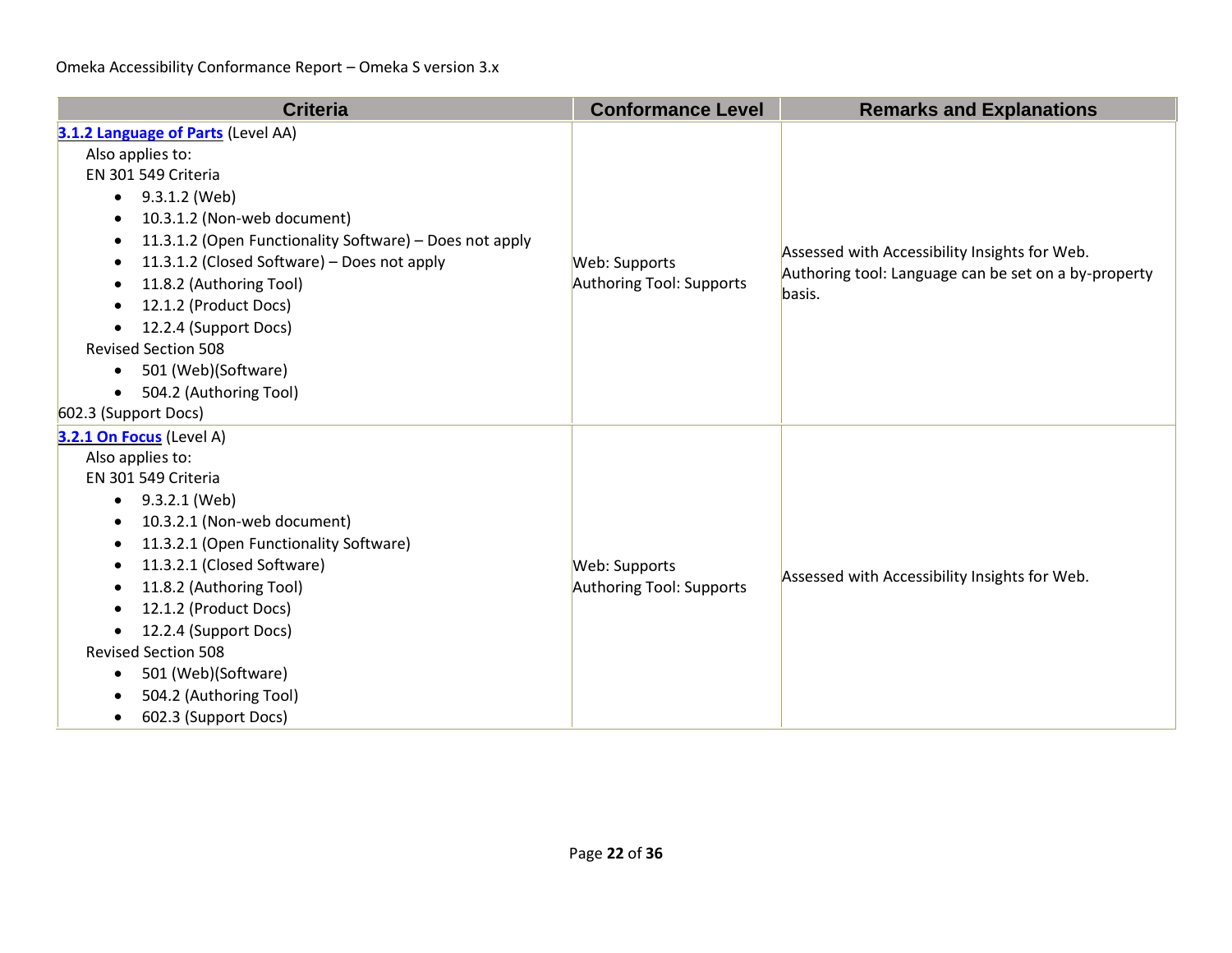| <b>Criteria</b>                                              | <b>Conformance Level</b> | <b>Remarks and Explanations</b>                                                                       |
|--------------------------------------------------------------|--------------------------|-------------------------------------------------------------------------------------------------------|
| 3.1.2 Language of Parts (Level AA)                           |                          |                                                                                                       |
| Also applies to:                                             |                          |                                                                                                       |
| EN 301 549 Criteria                                          |                          |                                                                                                       |
| $\bullet$ 9.3.1.2 (Web)                                      |                          |                                                                                                       |
| 10.3.1.2 (Non-web document)<br>$\bullet$                     |                          |                                                                                                       |
| 11.3.1.2 (Open Functionality Software) - Does not apply<br>٠ |                          |                                                                                                       |
| 11.3.1.2 (Closed Software) - Does not apply<br>$\bullet$     | Web: Supports            | Assessed with Accessibility Insights for Web.<br>Authoring tool: Language can be set on a by-property |
| 11.8.2 (Authoring Tool)<br>$\bullet$                         | Authoring Tool: Supports | basis.                                                                                                |
| 12.1.2 (Product Docs)                                        |                          |                                                                                                       |
| 12.2.4 (Support Docs)                                        |                          |                                                                                                       |
| <b>Revised Section 508</b>                                   |                          |                                                                                                       |
| 501 (Web)(Software)<br>$\bullet$                             |                          |                                                                                                       |
| 504.2 (Authoring Tool)<br>$\bullet$                          |                          |                                                                                                       |
| 602.3 (Support Docs)                                         |                          |                                                                                                       |
| 3.2.1 On Focus (Level A)                                     |                          |                                                                                                       |
| Also applies to:                                             |                          |                                                                                                       |
| EN 301 549 Criteria                                          |                          | Assessed with Accessibility Insights for Web.                                                         |
| 9.3.2.1 (Web)<br>$\bullet$                                   |                          |                                                                                                       |
| 10.3.2.1 (Non-web document)                                  |                          |                                                                                                       |
| 11.3.2.1 (Open Functionality Software)<br>٠                  |                          |                                                                                                       |
| 11.3.2.1 (Closed Software)<br>$\bullet$                      | Web: Supports            |                                                                                                       |
| 11.8.2 (Authoring Tool)                                      | Authoring Tool: Supports |                                                                                                       |
| 12.1.2 (Product Docs)<br>$\bullet$                           |                          |                                                                                                       |
| 12.2.4 (Support Docs)                                        |                          |                                                                                                       |
| <b>Revised Section 508</b>                                   |                          |                                                                                                       |
| 501 (Web)(Software)                                          |                          |                                                                                                       |
| 504.2 (Authoring Tool)                                       |                          |                                                                                                       |
| 602.3 (Support Docs)<br>$\bullet$                            |                          |                                                                                                       |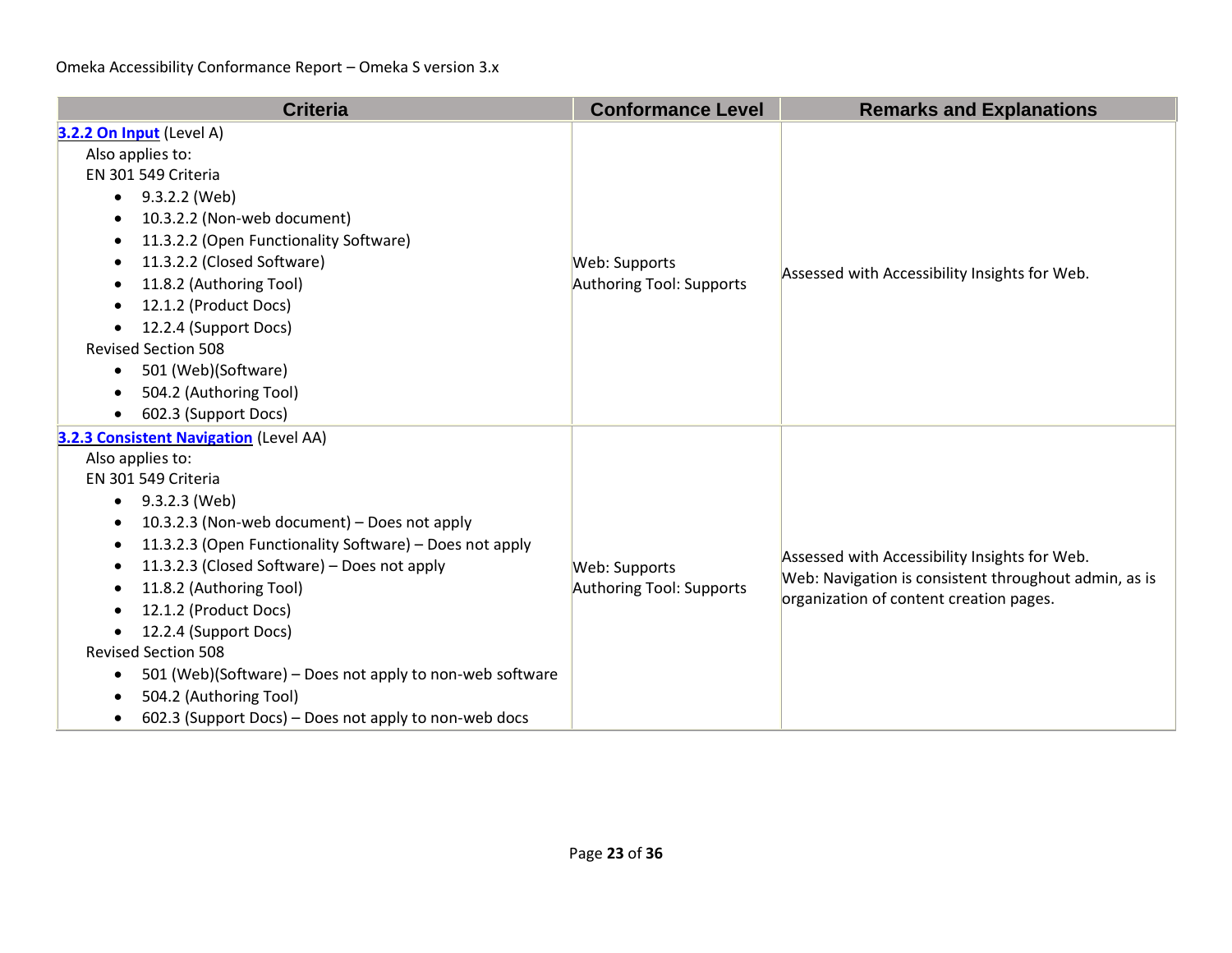| <b>Criteria</b>                                                                                                                                                                                                                                                                                                                                                                                                                                                                                                                                                                         | <b>Conformance Level</b>                  | <b>Remarks and Explanations</b>                                                                                                                   |
|-----------------------------------------------------------------------------------------------------------------------------------------------------------------------------------------------------------------------------------------------------------------------------------------------------------------------------------------------------------------------------------------------------------------------------------------------------------------------------------------------------------------------------------------------------------------------------------------|-------------------------------------------|---------------------------------------------------------------------------------------------------------------------------------------------------|
| 3.2.2 On Input (Level A)<br>Also applies to:<br>EN 301 549 Criteria<br>9.3.2.2 (Web)<br>$\bullet$<br>10.3.2.2 (Non-web document)<br>11.3.2.2 (Open Functionality Software)<br>11.3.2.2 (Closed Software)<br>$\bullet$<br>11.8.2 (Authoring Tool)<br>12.1.2 (Product Docs)<br>12.2.4 (Support Docs)<br>$\bullet$<br><b>Revised Section 508</b><br>501 (Web)(Software)<br>$\bullet$<br>504.2 (Authoring Tool)<br>602.3 (Support Docs)                                                                                                                                                     | Web: Supports<br>Authoring Tool: Supports | Assessed with Accessibility Insights for Web.                                                                                                     |
| 3.2.3 Consistent Navigation (Level AA)<br>Also applies to:<br>EN 301 549 Criteria<br>9.3.2.3 (Web)<br>$\bullet$<br>10.3.2.3 (Non-web document) - Does not apply<br>$\bullet$<br>11.3.2.3 (Open Functionality Software) - Does not apply<br>11.3.2.3 (Closed Software) - Does not apply<br>11.8.2 (Authoring Tool)<br>12.1.2 (Product Docs)<br>12.2.4 (Support Docs)<br>$\bullet$<br><b>Revised Section 508</b><br>501 (Web)(Software) - Does not apply to non-web software<br>$\bullet$<br>504.2 (Authoring Tool)<br>602.3 (Support Docs) – Does not apply to non-web docs<br>$\bullet$ | Web: Supports<br>Authoring Tool: Supports | Assessed with Accessibility Insights for Web.<br>Web: Navigation is consistent throughout admin, as is<br>organization of content creation pages. |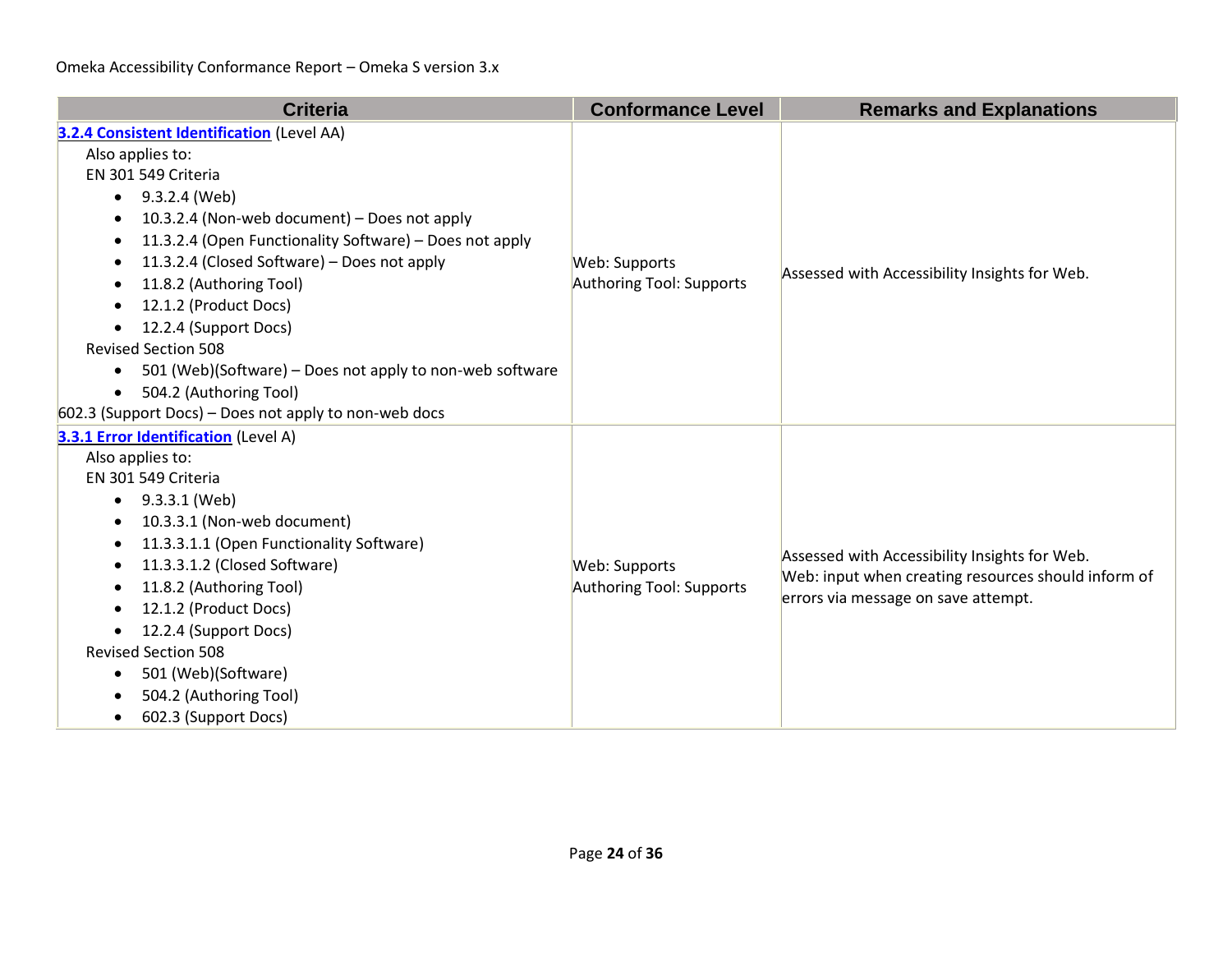| <b>Criteria</b>                                                       | <b>Conformance Level</b> | <b>Remarks and Explanations</b>                                                                                                             |
|-----------------------------------------------------------------------|--------------------------|---------------------------------------------------------------------------------------------------------------------------------------------|
| <b>3.2.4 Consistent Identification</b> (Level AA)                     |                          |                                                                                                                                             |
| Also applies to:                                                      |                          |                                                                                                                                             |
| EN 301 549 Criteria                                                   |                          |                                                                                                                                             |
| 9.3.2.4 (Web)<br>$\bullet$                                            |                          |                                                                                                                                             |
| 10.3.2.4 (Non-web document) – Does not apply<br>٠                     |                          |                                                                                                                                             |
| 11.3.2.4 (Open Functionality Software) - Does not apply<br>$\bullet$  |                          |                                                                                                                                             |
| 11.3.2.4 (Closed Software) – Does not apply                           | Web: Supports            | Assessed with Accessibility Insights for Web.                                                                                               |
| 11.8.2 (Authoring Tool)                                               | Authoring Tool: Supports |                                                                                                                                             |
| 12.1.2 (Product Docs)                                                 |                          |                                                                                                                                             |
| 12.2.4 (Support Docs)<br>$\bullet$                                    |                          |                                                                                                                                             |
| <b>Revised Section 508</b>                                            |                          |                                                                                                                                             |
| 501 (Web)(Software) - Does not apply to non-web software<br>$\bullet$ |                          |                                                                                                                                             |
| 504.2 (Authoring Tool)<br>$\bullet$                                   |                          |                                                                                                                                             |
| 602.3 (Support Docs) - Does not apply to non-web docs                 |                          |                                                                                                                                             |
| 3.3.1 Error Identification (Level A)                                  |                          |                                                                                                                                             |
| Also applies to:                                                      |                          | Assessed with Accessibility Insights for Web.<br>Web: input when creating resources should inform of<br>errors via message on save attempt. |
| EN 301 549 Criteria                                                   |                          |                                                                                                                                             |
| 9.3.3.1 (Web)<br>$\bullet$                                            |                          |                                                                                                                                             |
| 10.3.3.1 (Non-web document)<br>$\bullet$                              |                          |                                                                                                                                             |
| 11.3.3.1.1 (Open Functionality Software)                              |                          |                                                                                                                                             |
| 11.3.3.1.2 (Closed Software)<br>$\bullet$                             | Web: Supports            |                                                                                                                                             |
| 11.8.2 (Authoring Tool)                                               | Authoring Tool: Supports |                                                                                                                                             |
| 12.1.2 (Product Docs)                                                 |                          |                                                                                                                                             |
| 12.2.4 (Support Docs)                                                 |                          |                                                                                                                                             |
| <b>Revised Section 508</b>                                            |                          |                                                                                                                                             |
| 501 (Web)(Software)<br>$\bullet$                                      |                          |                                                                                                                                             |
| 504.2 (Authoring Tool)                                                |                          |                                                                                                                                             |
| 602.3 (Support Docs)<br>$\bullet$                                     |                          |                                                                                                                                             |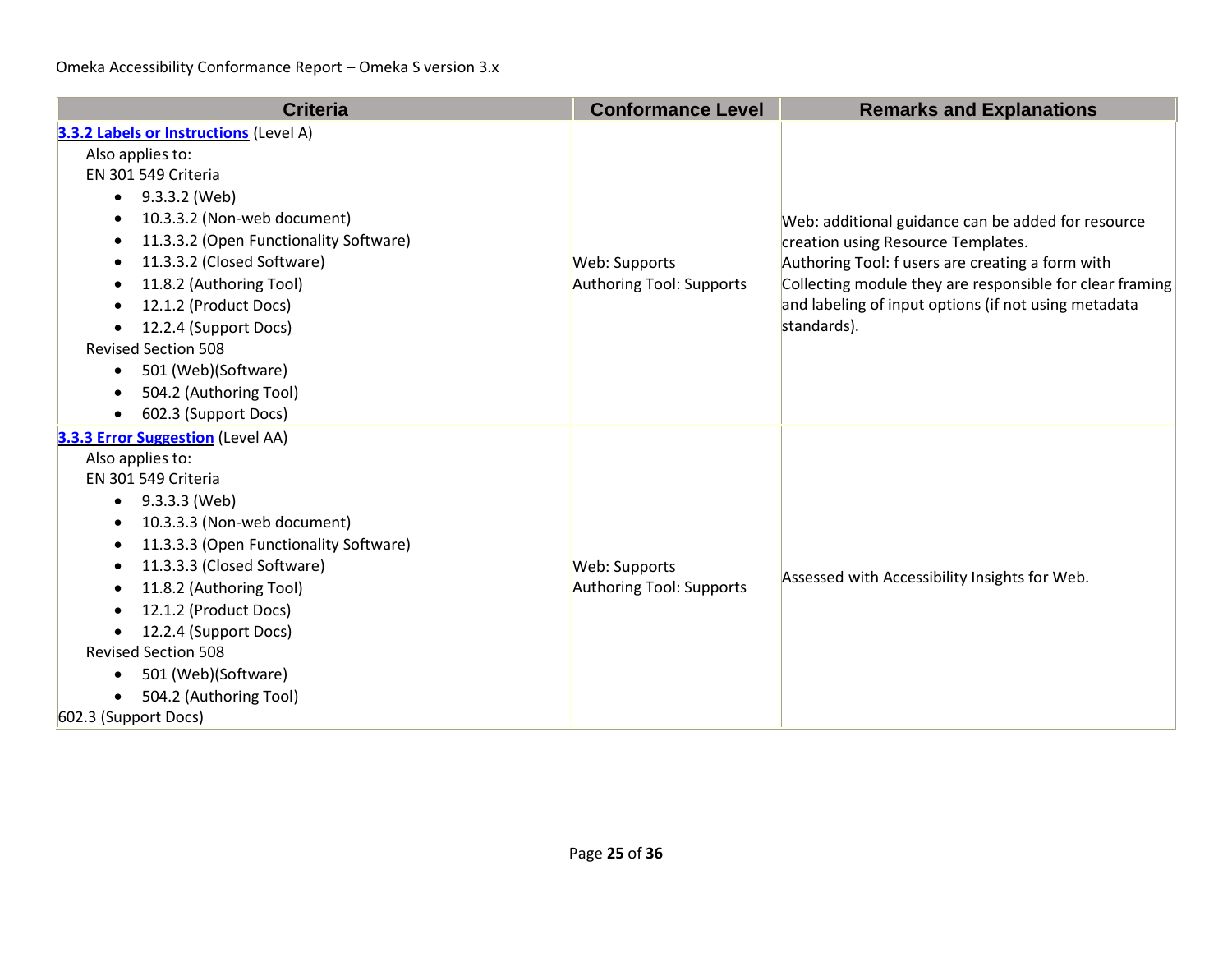| <b>Criteria</b>                               | <b>Conformance Level</b> | <b>Remarks and Explanations</b>                                                                                                              |
|-----------------------------------------------|--------------------------|----------------------------------------------------------------------------------------------------------------------------------------------|
| <b>3.3.2 Labels or Instructions (Level A)</b> |                          |                                                                                                                                              |
| Also applies to:                              |                          | Web: additional guidance can be added for resource<br>creation using Resource Templates.<br>Authoring Tool: f users are creating a form with |
| EN 301 549 Criteria                           |                          |                                                                                                                                              |
| 9.3.3.2 (Web)<br>$\bullet$                    |                          |                                                                                                                                              |
| 10.3.3.2 (Non-web document)<br>$\bullet$      |                          |                                                                                                                                              |
| 11.3.3.2 (Open Functionality Software)        |                          |                                                                                                                                              |
| 11.3.3.2 (Closed Software)                    | Web: Supports            |                                                                                                                                              |
| 11.8.2 (Authoring Tool)                       | Authoring Tool: Supports | Collecting module they are responsible for clear framing                                                                                     |
| 12.1.2 (Product Docs)                         |                          | and labeling of input options (if not using metadata                                                                                         |
| 12.2.4 (Support Docs)<br>$\bullet$            |                          | standards).                                                                                                                                  |
| <b>Revised Section 508</b>                    |                          |                                                                                                                                              |
| 501 (Web)(Software)<br>$\bullet$              |                          |                                                                                                                                              |
| 504.2 (Authoring Tool)                        |                          |                                                                                                                                              |
| 602.3 (Support Docs)                          |                          |                                                                                                                                              |
| 3.3.3 Error Suggestion (Level AA)             |                          |                                                                                                                                              |
| Also applies to:                              |                          |                                                                                                                                              |
| EN 301 549 Criteria                           |                          |                                                                                                                                              |
| 9.3.3.3 (Web)<br>$\bullet$                    |                          | Assessed with Accessibility Insights for Web.                                                                                                |
| 10.3.3.3 (Non-web document)                   |                          |                                                                                                                                              |
| 11.3.3.3 (Open Functionality Software)        |                          |                                                                                                                                              |
| 11.3.3.3 (Closed Software)<br>$\bullet$       | Web: Supports            |                                                                                                                                              |
| 11.8.2 (Authoring Tool)                       | Authoring Tool: Supports |                                                                                                                                              |
| 12.1.2 (Product Docs)                         |                          |                                                                                                                                              |
| 12.2.4 (Support Docs)                         |                          |                                                                                                                                              |
| <b>Revised Section 508</b>                    |                          |                                                                                                                                              |
| 501 (Web)(Software)                           |                          |                                                                                                                                              |
| 504.2 (Authoring Tool)                        |                          |                                                                                                                                              |
| 602.3 (Support Docs)                          |                          |                                                                                                                                              |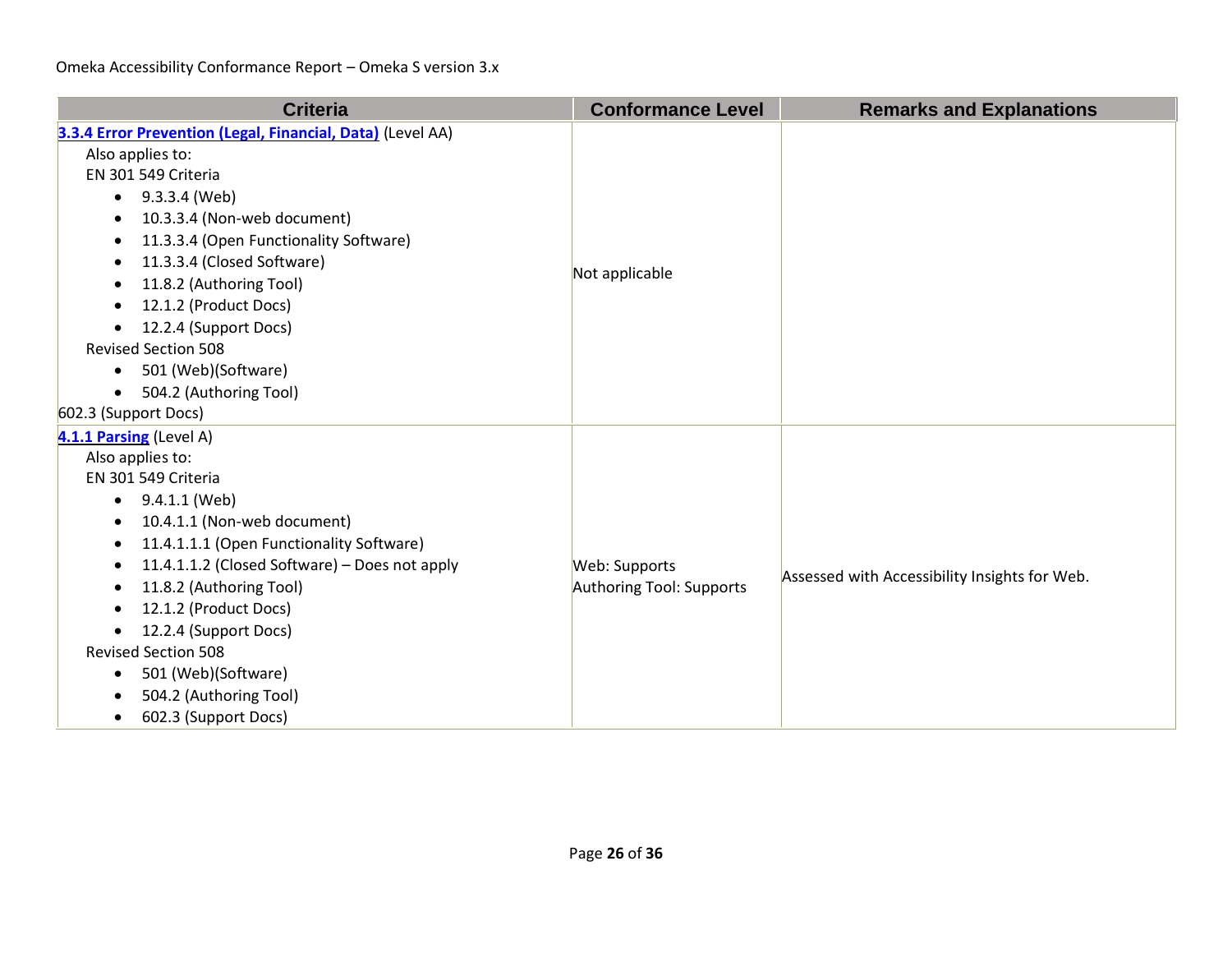| <b>Criteria</b>                                                                                                                                                                                                                                                                                                                                                                                                                                                           | <b>Conformance Level</b>                  | <b>Remarks and Explanations</b>               |
|---------------------------------------------------------------------------------------------------------------------------------------------------------------------------------------------------------------------------------------------------------------------------------------------------------------------------------------------------------------------------------------------------------------------------------------------------------------------------|-------------------------------------------|-----------------------------------------------|
| 3.3.4 Error Prevention (Legal, Financial, Data) (Level AA)<br>Also applies to:<br>EN 301 549 Criteria<br>9.3.3.4 (Web)<br>$\bullet$<br>10.3.3.4 (Non-web document)<br>$\bullet$<br>11.3.3.4 (Open Functionality Software)<br>11.3.3.4 (Closed Software)<br>11.8.2 (Authoring Tool)<br>٠<br>12.1.2 (Product Docs)<br>$\bullet$<br>12.2.4 (Support Docs)<br>$\bullet$<br><b>Revised Section 508</b><br>501 (Web)(Software)<br>$\bullet$                                     | Not applicable                            |                                               |
| 504.2 (Authoring Tool)<br>$\bullet$<br>602.3 (Support Docs)                                                                                                                                                                                                                                                                                                                                                                                                               |                                           |                                               |
| 4.1.1 Parsing (Level A)<br>Also applies to:<br>EN 301 549 Criteria<br>9.4.1.1 (Web)<br>$\bullet$<br>10.4.1.1 (Non-web document)<br>$\bullet$<br>11.4.1.1.1 (Open Functionality Software)<br>٠<br>11.4.1.1.2 (Closed Software) - Does not apply<br>$\bullet$<br>11.8.2 (Authoring Tool)<br>12.1.2 (Product Docs)<br>12.2.4 (Support Docs)<br><b>Revised Section 508</b><br>501 (Web)(Software)<br>$\bullet$<br>504.2 (Authoring Tool)<br>602.3 (Support Docs)<br>$\bullet$ | Web: Supports<br>Authoring Tool: Supports | Assessed with Accessibility Insights for Web. |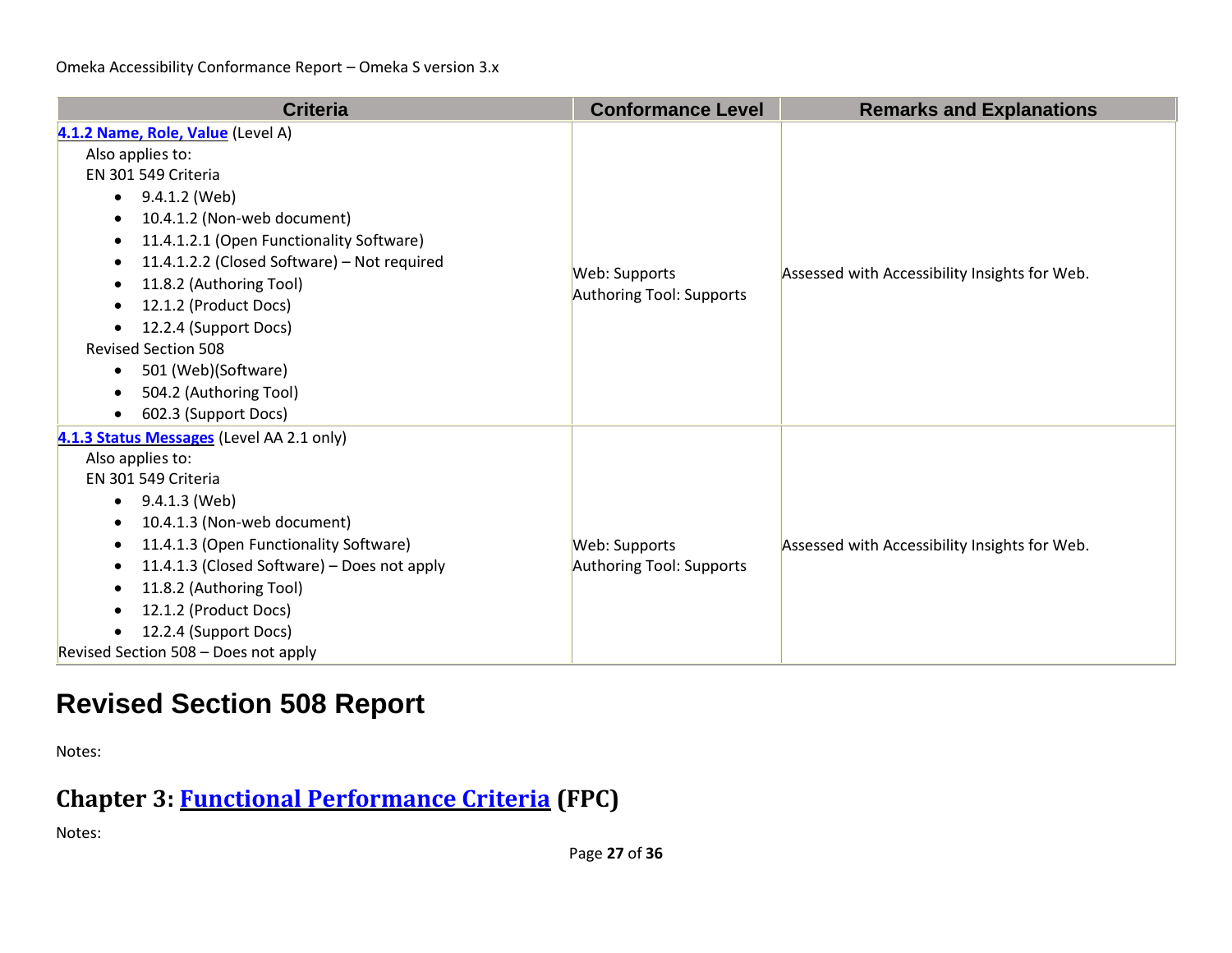| <b>Criteria</b>                                          | <b>Conformance Level</b> | <b>Remarks and Explanations</b>               |
|----------------------------------------------------------|--------------------------|-----------------------------------------------|
| 4.1.2 Name, Role, Value (Level A)                        |                          |                                               |
| Also applies to:                                         |                          |                                               |
| EN 301 549 Criteria                                      |                          |                                               |
| 9.4.1.2 (Web)<br>$\bullet$                               |                          |                                               |
| 10.4.1.2 (Non-web document)                              |                          |                                               |
| 11.4.1.2.1 (Open Functionality Software)                 |                          |                                               |
| 11.4.1.2.2 (Closed Software) - Not required<br>$\bullet$ | Web: Supports            | Assessed with Accessibility Insights for Web. |
| 11.8.2 (Authoring Tool)<br>$\bullet$                     | Authoring Tool: Supports |                                               |
| 12.1.2 (Product Docs)<br>$\bullet$                       |                          |                                               |
| 12.2.4 (Support Docs)<br>$\bullet$                       |                          |                                               |
| <b>Revised Section 508</b>                               |                          |                                               |
| 501 (Web)(Software)<br>$\bullet$                         |                          |                                               |
| 504.2 (Authoring Tool)                                   |                          |                                               |
| 602.3 (Support Docs)                                     |                          |                                               |
| 4.1.3 Status Messages (Level AA 2.1 only)                |                          |                                               |
| Also applies to:                                         |                          |                                               |
| EN 301 549 Criteria                                      |                          |                                               |
| 9.4.1.3 (Web)<br>$\bullet$                               |                          |                                               |
| 10.4.1.3 (Non-web document)                              |                          |                                               |
| 11.4.1.3 (Open Functionality Software)<br>$\bullet$      | Web: Supports            | Assessed with Accessibility Insights for Web. |
| 11.4.1.3 (Closed Software) - Does not apply              | Authoring Tool: Supports |                                               |
| 11.8.2 (Authoring Tool)<br>$\bullet$                     |                          |                                               |
| 12.1.2 (Product Docs)                                    |                          |                                               |
| 12.2.4 (Support Docs)<br>$\bullet$                       |                          |                                               |
| Revised Section 508 - Does not apply                     |                          |                                               |

# **Revised Section 508 Report**

Notes:

### **Chapter 3: [Functional Performance Criteria](https://www.access-board.gov/guidelines-and-standards/communications-and-it/about-the-ict-refresh/final-rule/text-of-the-standards-and-guidelines#302-functional-performance-criteria) (FPC)**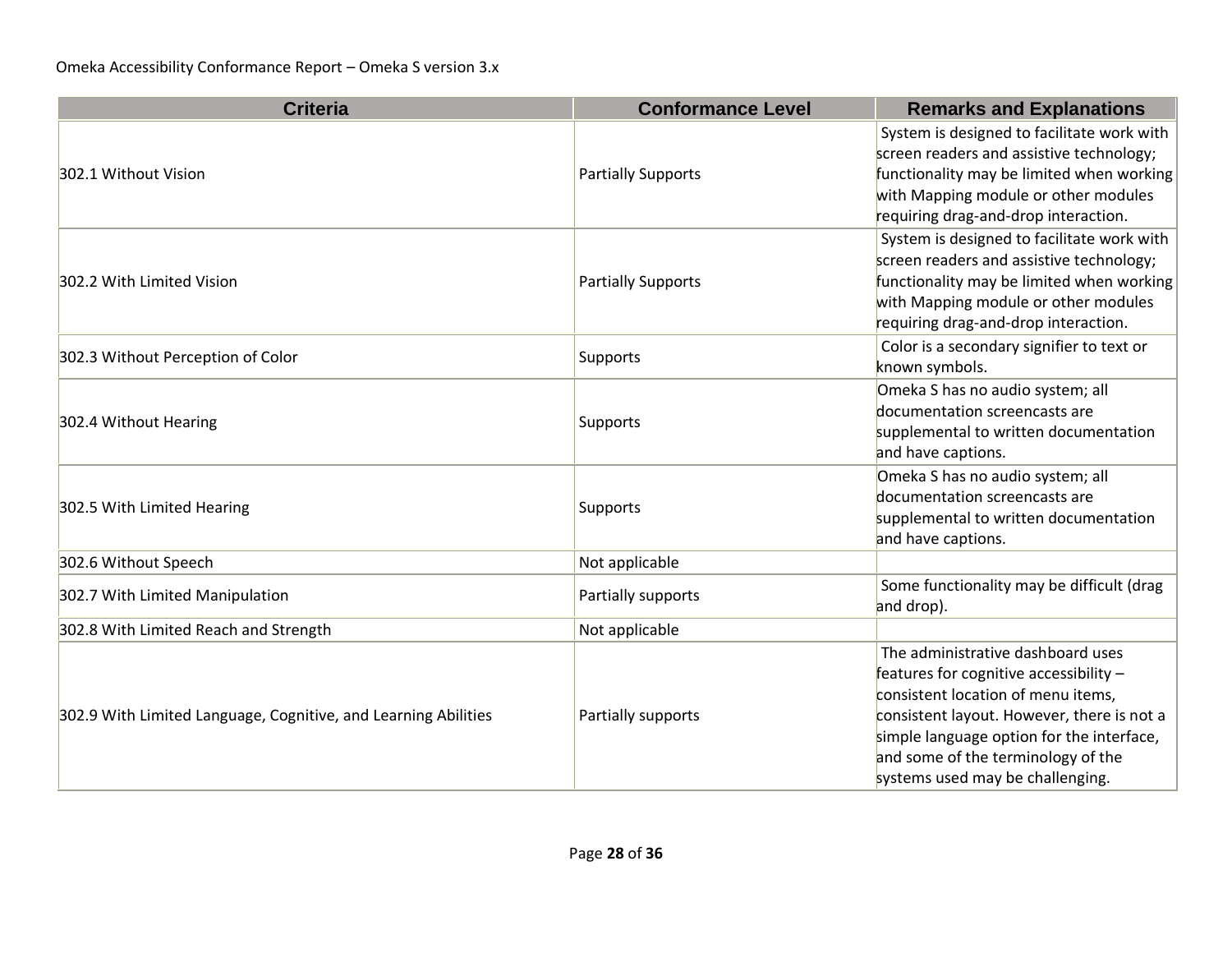| <b>Criteria</b>                                                | <b>Conformance Level</b>  | <b>Remarks and Explanations</b>                                                                                                                                                                                                                                                        |
|----------------------------------------------------------------|---------------------------|----------------------------------------------------------------------------------------------------------------------------------------------------------------------------------------------------------------------------------------------------------------------------------------|
|                                                                |                           | System is designed to facilitate work with<br>screen readers and assistive technology;                                                                                                                                                                                                 |
| 302.1 Without Vision                                           | <b>Partially Supports</b> | functionality may be limited when working<br>with Mapping module or other modules<br>requiring drag-and-drop interaction.                                                                                                                                                              |
| 302.2 With Limited Vision                                      | <b>Partially Supports</b> | System is designed to facilitate work with<br>screen readers and assistive technology;<br>functionality may be limited when working<br>with Mapping module or other modules<br>requiring drag-and-drop interaction.                                                                    |
| 302.3 Without Perception of Color                              | Supports                  | Color is a secondary signifier to text or<br>known symbols.                                                                                                                                                                                                                            |
| 302.4 Without Hearing                                          | Supports                  | Omeka S has no audio system; all<br>documentation screencasts are<br>supplemental to written documentation<br>and have captions.                                                                                                                                                       |
| 302.5 With Limited Hearing                                     | Supports                  | Omeka S has no audio system; all<br>documentation screencasts are<br>supplemental to written documentation<br>and have captions.                                                                                                                                                       |
| 302.6 Without Speech                                           | Not applicable            |                                                                                                                                                                                                                                                                                        |
| 302.7 With Limited Manipulation                                | Partially supports        | Some functionality may be difficult (drag<br>and drop).                                                                                                                                                                                                                                |
| 302.8 With Limited Reach and Strength                          | Not applicable            |                                                                                                                                                                                                                                                                                        |
| 302.9 With Limited Language, Cognitive, and Learning Abilities | Partially supports        | The administrative dashboard uses<br>features for cognitive accessibility -<br>consistent location of menu items,<br>consistent layout. However, there is not a<br>simple language option for the interface,<br>and some of the terminology of the<br>systems used may be challenging. |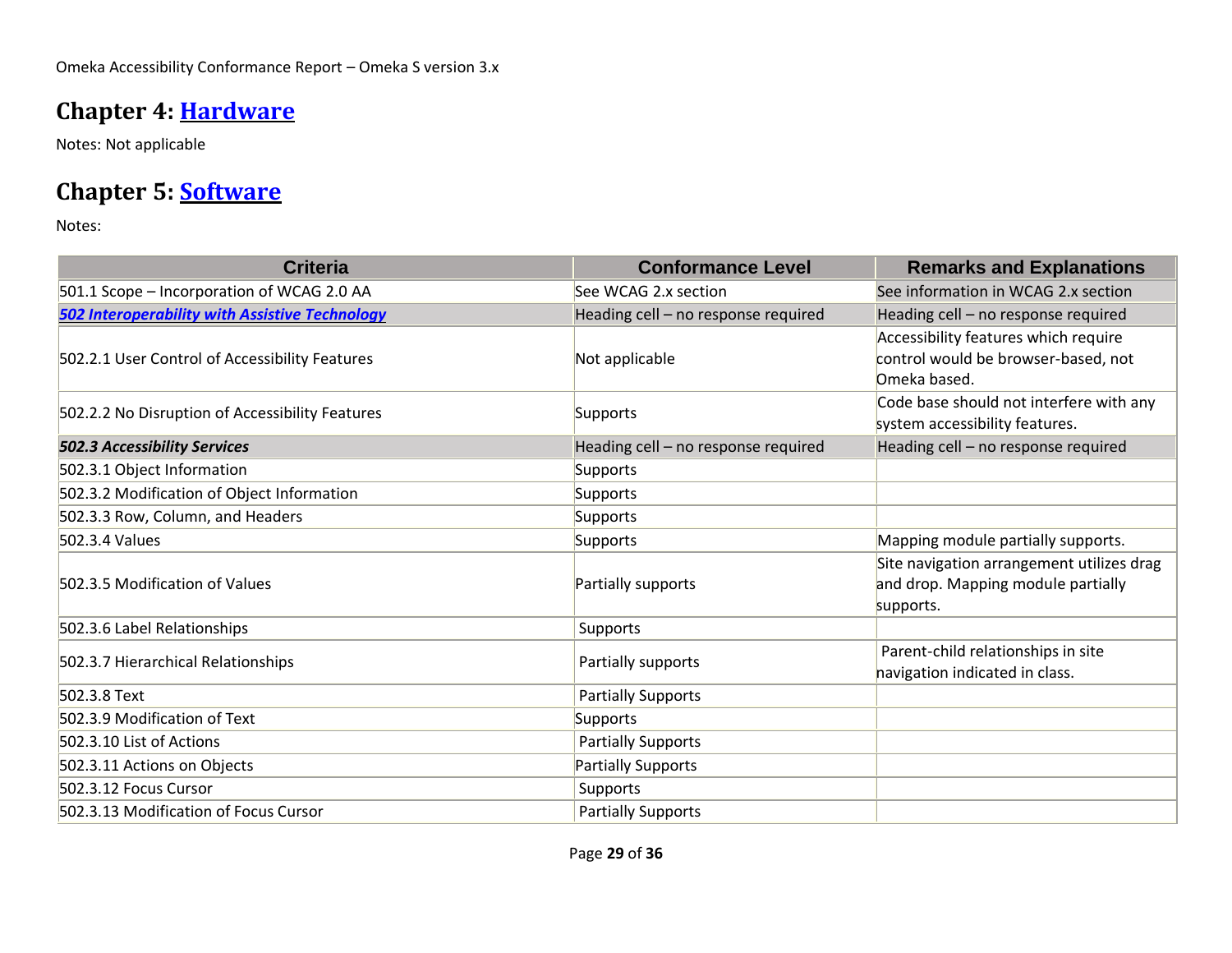### **Chapter 4: [Hardware](https://www.access-board.gov/guidelines-and-standards/communications-and-it/about-the-ict-refresh/final-rule/text-of-the-standards-and-guidelines#401-general)**

Notes: Not applicable

### **Chapter 5: [Software](https://www.access-board.gov/guidelines-and-standards/communications-and-it/about-the-ict-refresh/final-rule/text-of-the-standards-and-guidelines#501-general)**

| <b>Criteria</b>                                       | <b>Conformance Level</b>            | <b>Remarks and Explanations</b>                                                              |
|-------------------------------------------------------|-------------------------------------|----------------------------------------------------------------------------------------------|
| 501.1 Scope - Incorporation of WCAG 2.0 AA            | See WCAG 2.x section                | See information in WCAG 2.x section                                                          |
| <b>502 Interoperability with Assistive Technology</b> | Heading cell - no response required | Heading cell - no response required                                                          |
| 502.2.1 User Control of Accessibility Features        | Not applicable                      | Accessibility features which require<br>control would be browser-based, not<br>Omeka based.  |
| 502.2.2 No Disruption of Accessibility Features       | Supports                            | Code base should not interfere with any<br>system accessibility features.                    |
| <b>502.3 Accessibility Services</b>                   | Heading cell - no response required | Heading cell - no response required                                                          |
| 502.3.1 Object Information                            | Supports                            |                                                                                              |
| 502.3.2 Modification of Object Information            | Supports                            |                                                                                              |
| 502.3.3 Row, Column, and Headers                      | Supports                            |                                                                                              |
| 502.3.4 Values                                        | Supports                            | Mapping module partially supports.                                                           |
| 502.3.5 Modification of Values                        | Partially supports                  | Site navigation arrangement utilizes drag<br>and drop. Mapping module partially<br>supports. |
| 502.3.6 Label Relationships                           | Supports                            |                                                                                              |
| 502.3.7 Hierarchical Relationships                    | Partially supports                  | Parent-child relationships in site<br>navigation indicated in class.                         |
| 502.3.8 Text                                          | <b>Partially Supports</b>           |                                                                                              |
| 502.3.9 Modification of Text                          | Supports                            |                                                                                              |
| 502.3.10 List of Actions                              | <b>Partially Supports</b>           |                                                                                              |
| 502.3.11 Actions on Objects                           | <b>Partially Supports</b>           |                                                                                              |
| 502.3.12 Focus Cursor                                 | Supports                            |                                                                                              |
| 502.3.13 Modification of Focus Cursor                 | <b>Partially Supports</b>           |                                                                                              |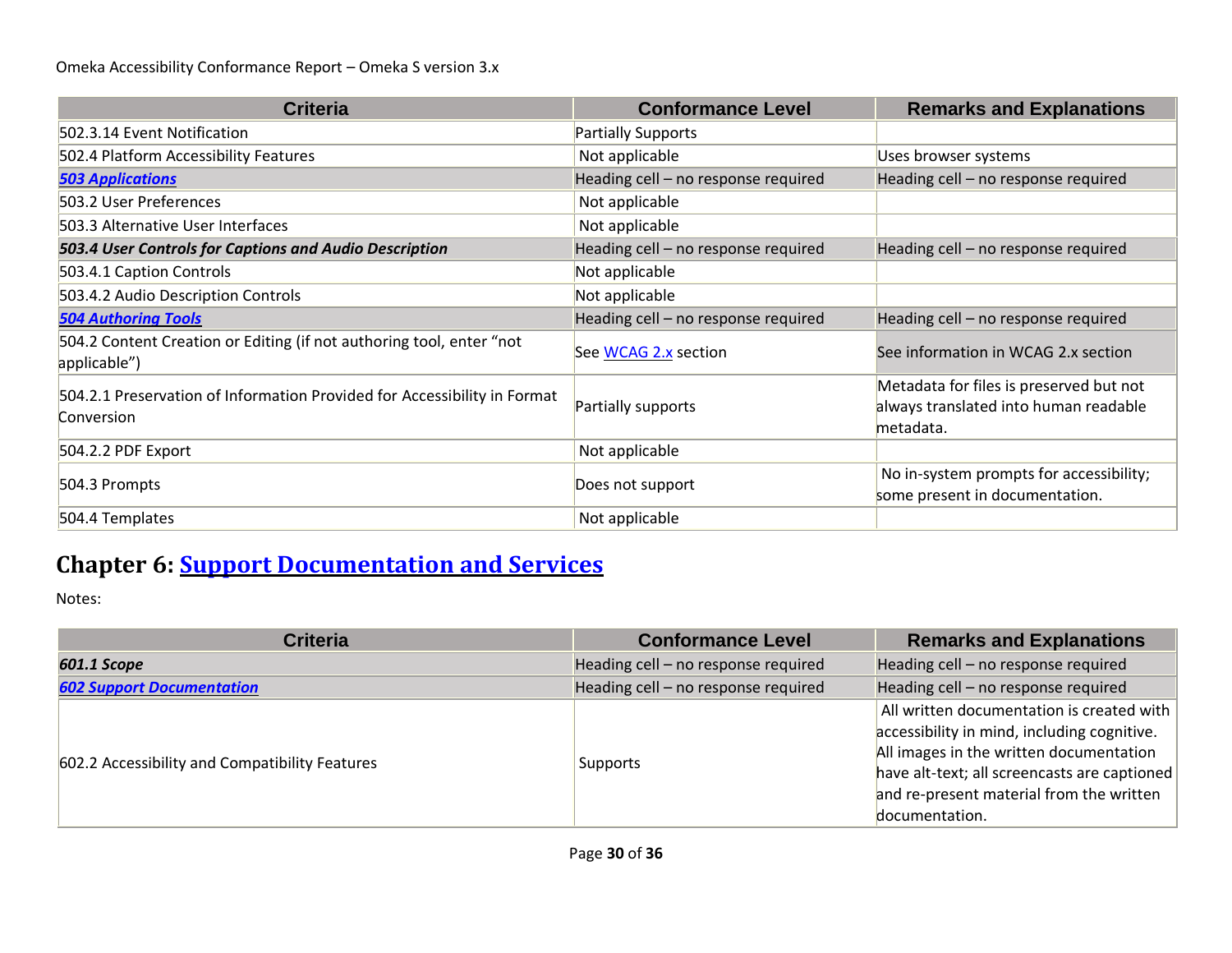| <b>Criteria</b>                                                                        | <b>Conformance Level</b>            | <b>Remarks and Explanations</b>                                                               |
|----------------------------------------------------------------------------------------|-------------------------------------|-----------------------------------------------------------------------------------------------|
| 502.3.14 Event Notification                                                            | <b>Partially Supports</b>           |                                                                                               |
| 502.4 Platform Accessibility Features                                                  | Not applicable                      | Uses browser systems                                                                          |
| <b>503 Applications</b>                                                                | Heading cell - no response required | Heading cell - no response required                                                           |
| 503.2 User Preferences                                                                 | Not applicable                      |                                                                                               |
| 503.3 Alternative User Interfaces                                                      | Not applicable                      |                                                                                               |
| 503.4 User Controls for Captions and Audio Description                                 | Heading cell - no response required | Heading cell - no response required                                                           |
| 503.4.1 Caption Controls                                                               | Not applicable                      |                                                                                               |
| 503.4.2 Audio Description Controls                                                     | Not applicable                      |                                                                                               |
| <b>504 Authoring Tools</b>                                                             | Heading cell - no response required | Heading cell - no response required                                                           |
| 504.2 Content Creation or Editing (if not authoring tool, enter "not<br>applicable")   | See WCAG 2.x section                | See information in WCAG 2.x section                                                           |
| 504.2.1 Preservation of Information Provided for Accessibility in Format<br>Conversion | Partially supports                  | Metadata for files is preserved but not<br>always translated into human readable<br>metadata. |
| 504.2.2 PDF Export                                                                     | Not applicable                      |                                                                                               |
| 504.3 Prompts                                                                          | Does not support                    | No in-system prompts for accessibility;<br>some present in documentation.                     |
| 504.4 Templates                                                                        | Not applicable                      |                                                                                               |

# **Chapter 6: [Support Documentation and Services](https://www.access-board.gov/guidelines-and-standards/communications-and-it/about-the-ict-refresh/final-rule/text-of-the-standards-and-guidelines#601-general)**

| <b>Criteria</b>                                | <b>Conformance Level</b>            | <b>Remarks and Explanations</b>                                                                                                                                                                                                                   |
|------------------------------------------------|-------------------------------------|---------------------------------------------------------------------------------------------------------------------------------------------------------------------------------------------------------------------------------------------------|
| 601.1 Scope                                    | Heading cell - no response required | Heading cell - no response required                                                                                                                                                                                                               |
| <b>602 Support Documentation</b>               | Heading cell - no response required | Heading cell - no response required                                                                                                                                                                                                               |
| 602.2 Accessibility and Compatibility Features | Supports                            | All written documentation is created with<br>accessibility in mind, including cognitive.<br>All images in the written documentation<br>have alt-text; all screencasts are captioned<br>and re-present material from the written<br>documentation. |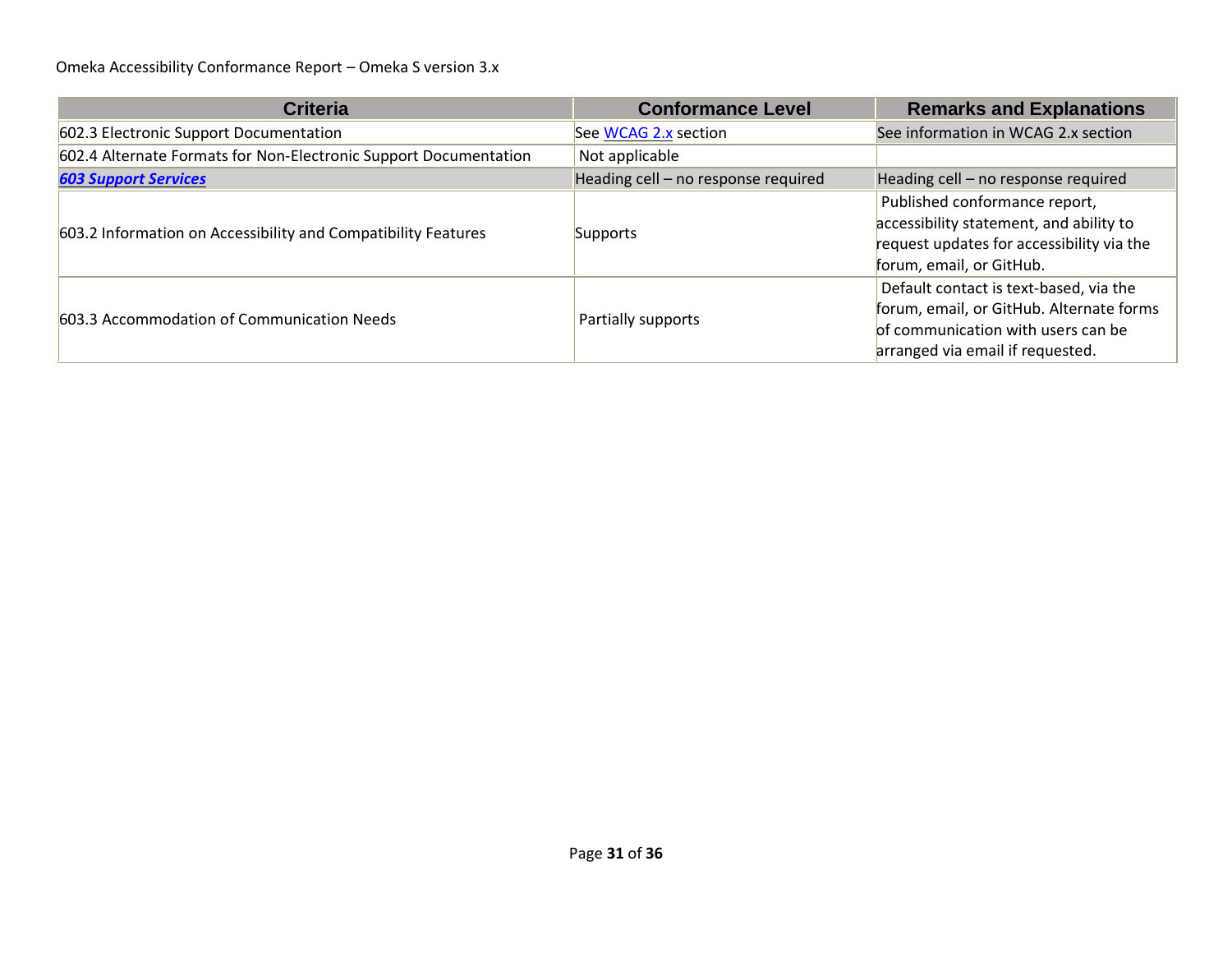| <b>Criteria</b>                                                  | <b>Conformance Level</b>            | <b>Remarks and Explanations</b>                                                                                                                              |
|------------------------------------------------------------------|-------------------------------------|--------------------------------------------------------------------------------------------------------------------------------------------------------------|
| 602.3 Electronic Support Documentation                           | See WCAG 2.x section                | See information in WCAG 2.x section                                                                                                                          |
| 602.4 Alternate Formats for Non-Electronic Support Documentation | Not applicable                      |                                                                                                                                                              |
| <b>603 Support Services</b>                                      | Heading cell - no response required | Heading cell - no response required                                                                                                                          |
| 603.2 Information on Accessibility and Compatibility Features    | Supports                            | Published conformance report,<br>accessibility statement, and ability to<br>request updates for accessibility via the<br>forum, email, or GitHub.            |
| 603.3 Accommodation of Communication Needs                       | Partially supports                  | Default contact is text-based, via the<br>forum, email, or GitHub. Alternate forms<br>of communication with users can be<br>arranged via email if requested. |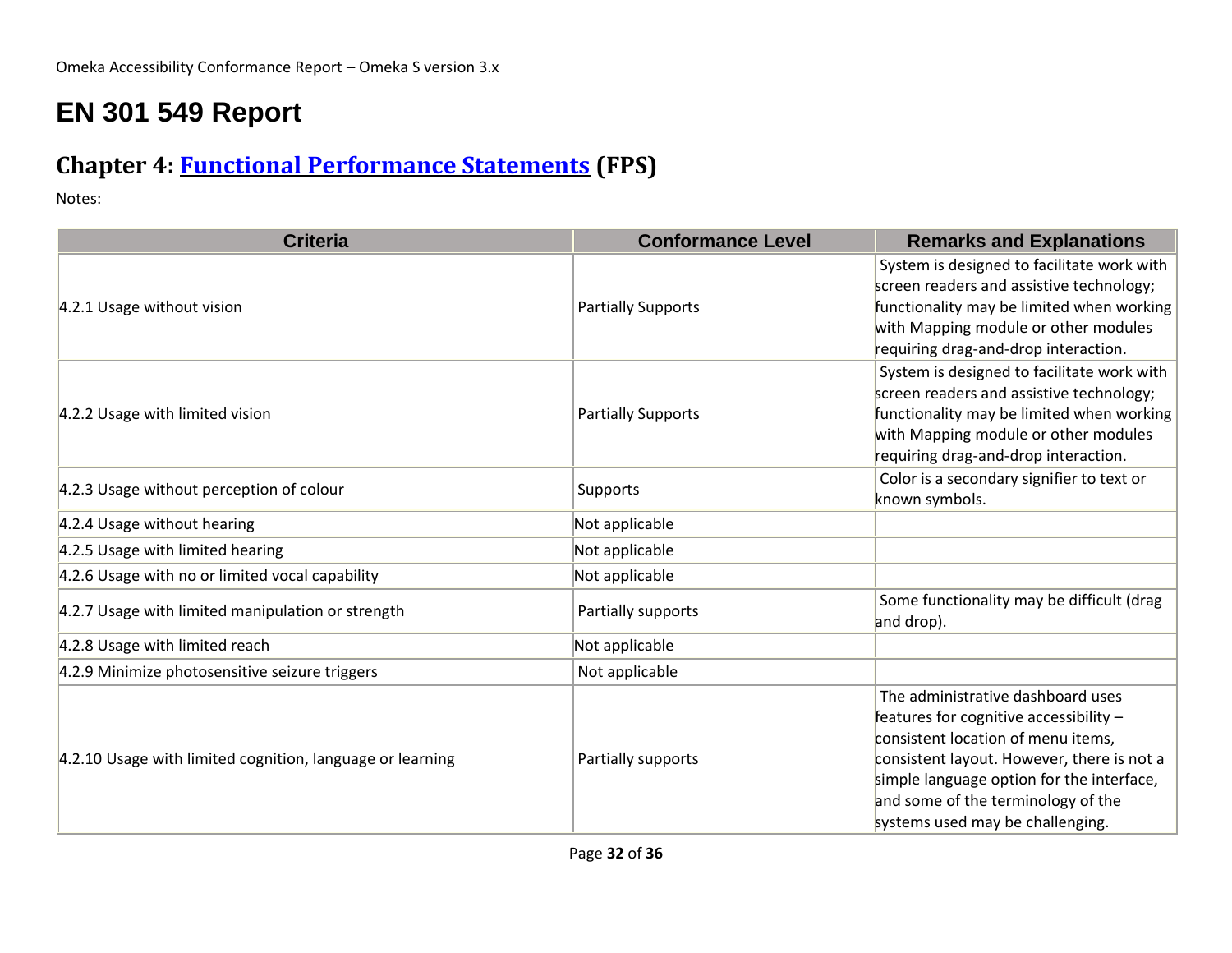# **EN 301 549 Report**

### **Chapter 4: [Functional Performance Statements](https://www.etsi.org/deliver/etsi_en/301500_301599/301549/03.01.01_60/en_301549v030101p.pdf#%5B%7B%22num%22%3A38%2C%22gen%22%3A0%7D%2C%7B%22name%22%3A%22XYZ%22%7D%2C54%2C747%2C0%5D) (FPS)**

| <b>Criteria</b>                                           | <b>Conformance Level</b>  | <b>Remarks and Explanations</b>                                                                                                                                                                                                                                                        |
|-----------------------------------------------------------|---------------------------|----------------------------------------------------------------------------------------------------------------------------------------------------------------------------------------------------------------------------------------------------------------------------------------|
| 4.2.1 Usage without vision                                | <b>Partially Supports</b> | System is designed to facilitate work with<br>screen readers and assistive technology;<br>functionality may be limited when working<br>with Mapping module or other modules<br>requiring drag-and-drop interaction.                                                                    |
| 4.2.2 Usage with limited vision                           | <b>Partially Supports</b> | System is designed to facilitate work with<br>screen readers and assistive technology;<br>functionality may be limited when working<br>with Mapping module or other modules<br>requiring drag-and-drop interaction.                                                                    |
| 4.2.3 Usage without perception of colour                  | Supports                  | Color is a secondary signifier to text or<br>known symbols.                                                                                                                                                                                                                            |
| 4.2.4 Usage without hearing                               | Not applicable            |                                                                                                                                                                                                                                                                                        |
| 4.2.5 Usage with limited hearing                          | Not applicable            |                                                                                                                                                                                                                                                                                        |
| 4.2.6 Usage with no or limited vocal capability           | Not applicable            |                                                                                                                                                                                                                                                                                        |
| 4.2.7 Usage with limited manipulation or strength         | Partially supports        | Some functionality may be difficult (drag<br>and drop).                                                                                                                                                                                                                                |
| 4.2.8 Usage with limited reach                            | Not applicable            |                                                                                                                                                                                                                                                                                        |
| 4.2.9 Minimize photosensitive seizure triggers            | Not applicable            |                                                                                                                                                                                                                                                                                        |
| 4.2.10 Usage with limited cognition, language or learning | Partially supports        | The administrative dashboard uses<br>features for cognitive accessibility -<br>consistent location of menu items,<br>consistent layout. However, there is not a<br>simple language option for the interface,<br>and some of the terminology of the<br>systems used may be challenging. |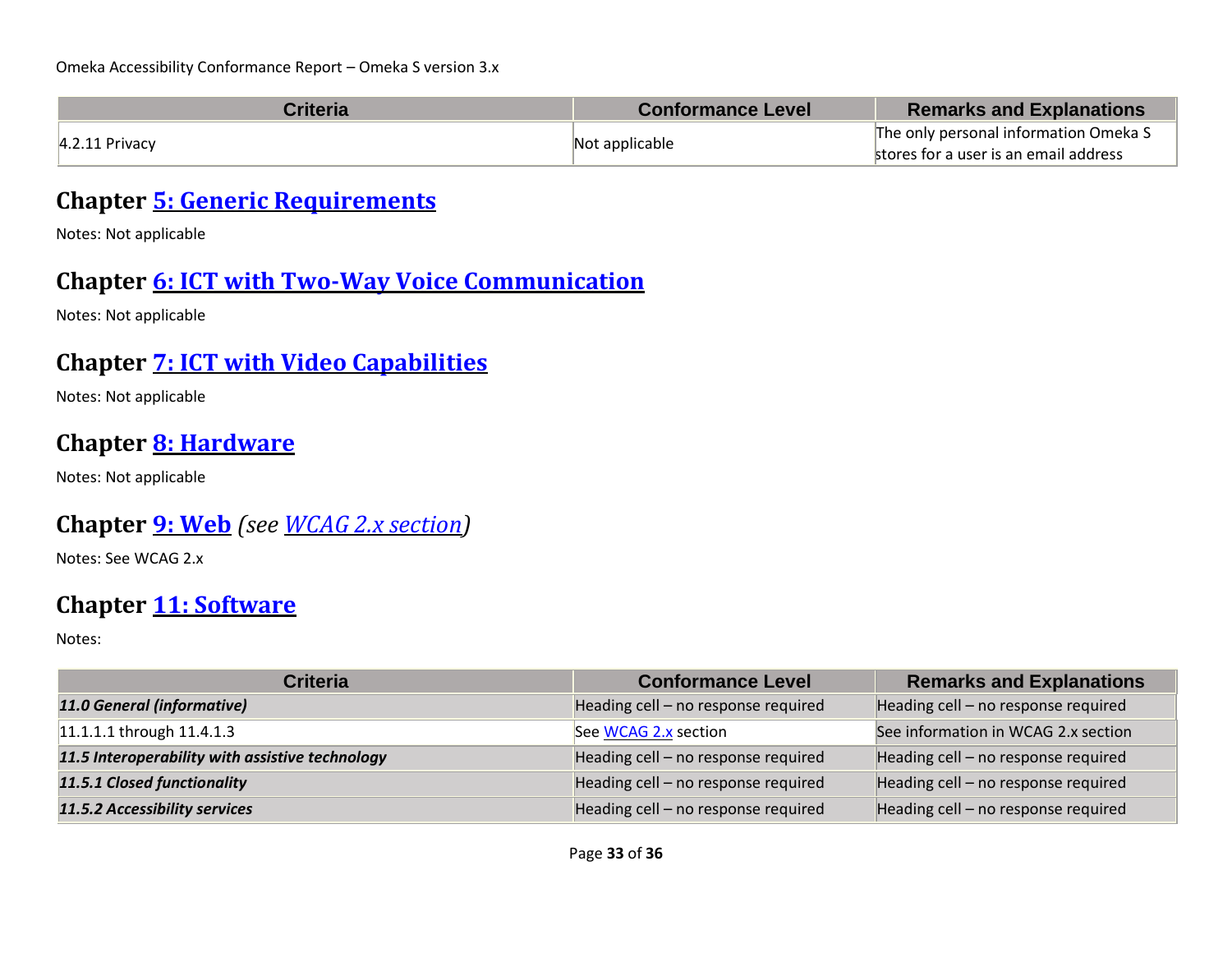| <b>Criteria</b>  | <b>Conformance Level</b> | <b>Remarks and Explanations</b>       |
|------------------|--------------------------|---------------------------------------|
| $4.2.11$ Privacy | Not applicable           | The only personal information Omeka S |
|                  |                          | stores for a user is an email address |

### **Chapter [5: Generic Requirements](https://www.etsi.org/deliver/etsi_en/301500_301599/301549/03.01.01_60/en_301549v030101p.pdf#%5B%7B%22num%22%3A45%2C%22gen%22%3A0%7D%2C%7B%22name%22%3A%22XYZ%22%7D%2C54%2C747%2C0%5D)**

Notes: Not applicable

#### **Chapter [6: ICT with Two-Way Voice Communication](https://www.etsi.org/deliver/etsi_en/301500_301599/301549/03.01.01_60/en_301549v030101p.pdf#%5B%7B%22num%22%3A60%2C%22gen%22%3A0%7D%2C%7B%22name%22%3A%22XYZ%22%7D%2C54%2C747%2C0%5D)**

Notes: Not applicable

#### **Chapter [7: ICT with Video Capabilities](https://www.etsi.org/deliver/etsi_en/301500_301599/301549/03.01.01_60/en_301549v030101p.pdf#%5B%7B%22num%22%3A70%2C%22gen%22%3A0%7D%2C%7B%22name%22%3A%22XYZ%22%7D%2C54%2C747%2C0%5D)**

Notes: Not applicable

#### **Chapter [8: Hardware](https://www.etsi.org/deliver/etsi_en/301500_301599/301549/03.01.01_60/en_301549v030101p.pdf#%5B%7B%22num%22%3A74%2C%22gen%22%3A0%7D%2C%7B%22name%22%3A%22XYZ%22%7D%2C54%2C747%2C0%5D)**

Notes: Not applicable

#### **Chapter [9: Web](https://www.etsi.org/deliver/etsi_en/301500_301599/301549/03.01.01_60/en_301549v030101p.pdf#%5B%7B%22num%22%3A113%2C%22gen%22%3A0%7D%2C%7B%22name%22%3A%22XYZ%22%7D%2C54%2C747%2C0%5D)** *(see [WCAG 2.x](#page-1-0) section)*

Notes: See WCAG 2.x

#### **Chapter [11: Software](https://www.etsi.org/deliver/etsi_en/301500_301599/301549/03.01.01_60/en_301549v030101p.pdf#%5B%7B%22num%22%3A149%2C%22gen%22%3A0%7D%2C%7B%22name%22%3A%22XYZ%22%7D%2C54%2C747%2C0%5D)**

| <b>Criteria</b>                                 | <b>Conformance Level</b>            | <b>Remarks and Explanations</b>     |
|-------------------------------------------------|-------------------------------------|-------------------------------------|
| 11.0 General (informative)                      | Heading cell - no response required | Heading cell - no response required |
| 11.1.1.1 through 11.4.1.3                       | See WCAG 2.x section                | See information in WCAG 2.x section |
| 11.5 Interoperability with assistive technology | Heading cell - no response required | Heading cell - no response required |
| 11.5.1 Closed functionality                     | Heading cell - no response required | Heading cell - no response required |
| 11.5.2 Accessibility services                   | Heading cell - no response required | Heading cell - no response required |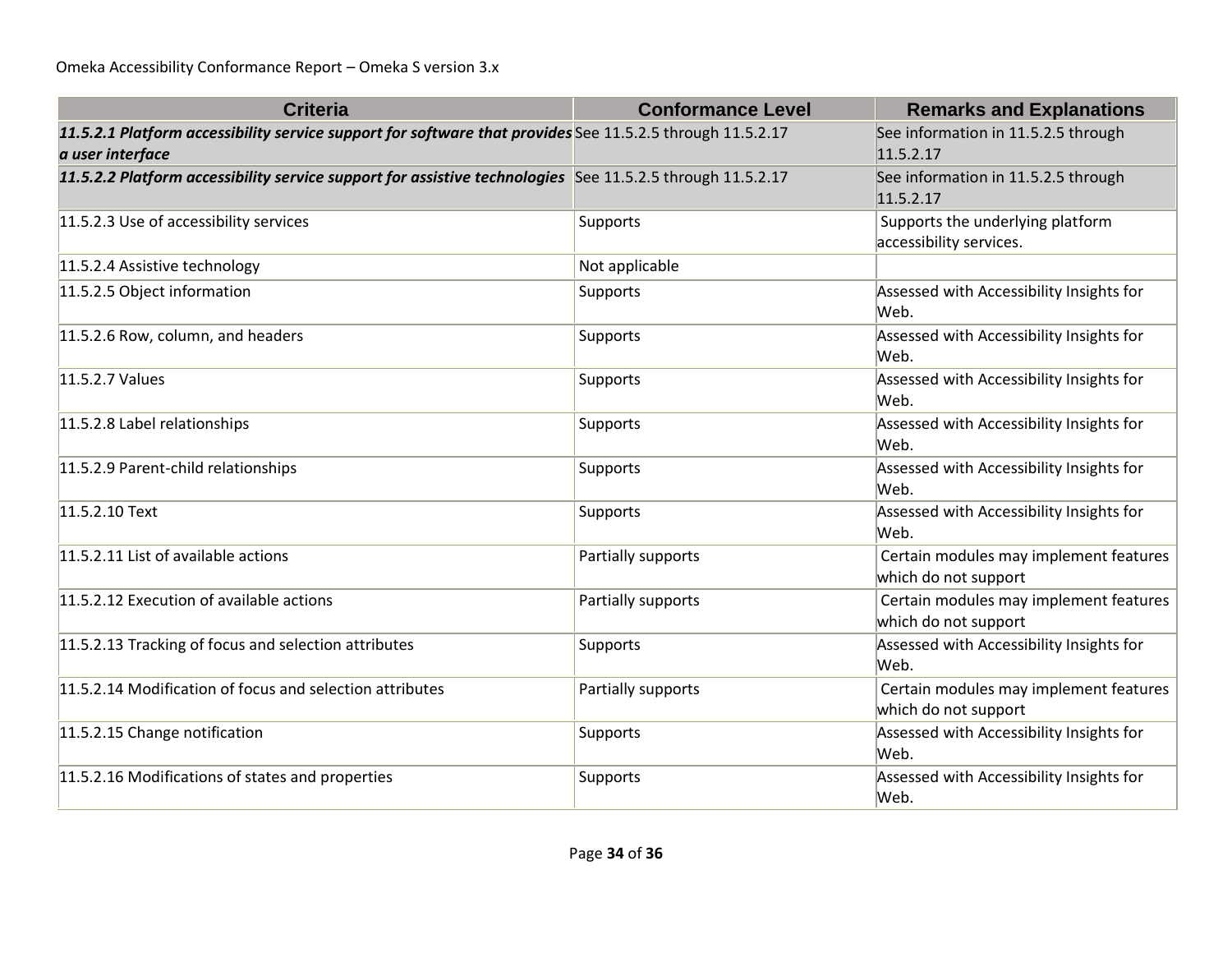| <b>Criteria</b>                                                                                                               | <b>Conformance Level</b> | <b>Remarks and Explanations</b>                                |
|-------------------------------------------------------------------------------------------------------------------------------|--------------------------|----------------------------------------------------------------|
| 11.5.2.1 Platform accessibility service support for software that provides See 11.5.2.5 through 11.5.2.17<br>a user interface |                          | See information in 11.5.2.5 through<br>11.5.2.17               |
| 11.5.2.2 Platform accessibility service support for assistive technologies See 11.5.2.5 through 11.5.2.17                     |                          | See information in 11.5.2.5 through<br>11.5.2.17               |
| 11.5.2.3 Use of accessibility services                                                                                        | Supports                 | Supports the underlying platform<br>accessibility services.    |
| 11.5.2.4 Assistive technology                                                                                                 | Not applicable           |                                                                |
| 11.5.2.5 Object information                                                                                                   | Supports                 | Assessed with Accessibility Insights for<br>Web.               |
| 11.5.2.6 Row, column, and headers                                                                                             | Supports                 | Assessed with Accessibility Insights for<br>Web.               |
| 11.5.2.7 Values                                                                                                               | Supports                 | Assessed with Accessibility Insights for<br>Web.               |
| 11.5.2.8 Label relationships                                                                                                  | Supports                 | Assessed with Accessibility Insights for<br>Web.               |
| 11.5.2.9 Parent-child relationships                                                                                           | Supports                 | Assessed with Accessibility Insights for<br>Web.               |
| 11.5.2.10 Text                                                                                                                | Supports                 | Assessed with Accessibility Insights for<br>Web.               |
| 11.5.2.11 List of available actions                                                                                           | Partially supports       | Certain modules may implement features<br>which do not support |
| 11.5.2.12 Execution of available actions                                                                                      | Partially supports       | Certain modules may implement features<br>which do not support |
| 11.5.2.13 Tracking of focus and selection attributes                                                                          | Supports                 | Assessed with Accessibility Insights for<br>Web.               |
| 11.5.2.14 Modification of focus and selection attributes                                                                      | Partially supports       | Certain modules may implement features<br>which do not support |
| 11.5.2.15 Change notification                                                                                                 | Supports                 | Assessed with Accessibility Insights for<br>Web.               |
| 11.5.2.16 Modifications of states and properties                                                                              | Supports                 | Assessed with Accessibility Insights for<br>Web.               |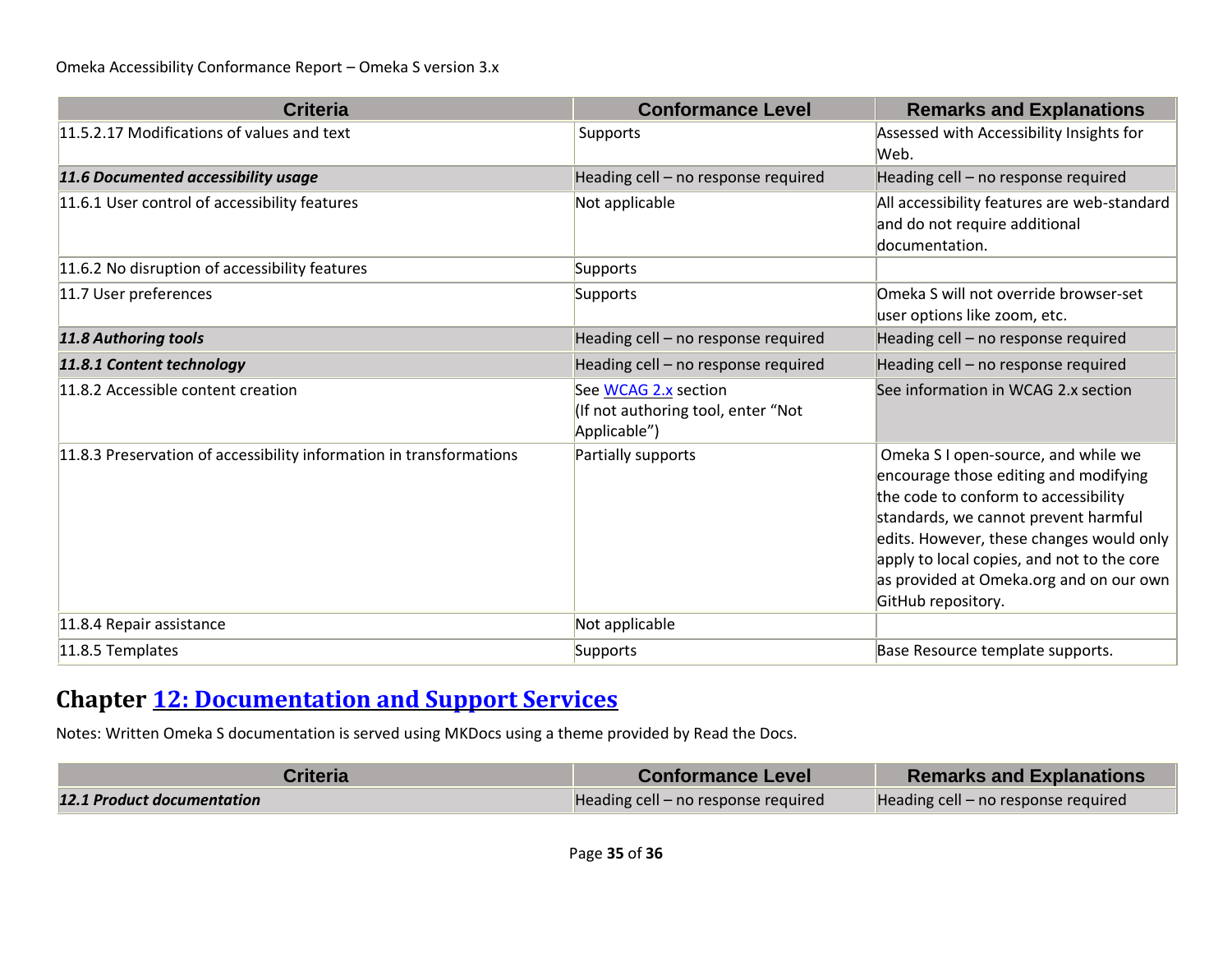| <b>Criteria</b>                                                     | <b>Conformance Level</b>                                                   | <b>Remarks and Explanations</b>                                                                                                                                                                                                                                                                                         |
|---------------------------------------------------------------------|----------------------------------------------------------------------------|-------------------------------------------------------------------------------------------------------------------------------------------------------------------------------------------------------------------------------------------------------------------------------------------------------------------------|
| 11.5.2.17 Modifications of values and text                          | Supports                                                                   | Assessed with Accessibility Insights for<br>Web.                                                                                                                                                                                                                                                                        |
| 11.6 Documented accessibility usage                                 | Heading cell - no response required                                        | Heading cell - no response required                                                                                                                                                                                                                                                                                     |
| 11.6.1 User control of accessibility features                       | Not applicable                                                             | All accessibility features are web-standard<br>and do not require additional<br>documentation.                                                                                                                                                                                                                          |
| 11.6.2 No disruption of accessibility features                      | Supports                                                                   |                                                                                                                                                                                                                                                                                                                         |
| 11.7 User preferences                                               | Supports                                                                   | Omeka S will not override browser-set<br>user options like zoom, etc.                                                                                                                                                                                                                                                   |
| 11.8 Authoring tools                                                | Heading cell - no response required                                        | Heading cell - no response required                                                                                                                                                                                                                                                                                     |
| 11.8.1 Content technology                                           | Heading cell - no response required                                        | Heading cell - no response required                                                                                                                                                                                                                                                                                     |
| 11.8.2 Accessible content creation                                  | See WCAG 2.x section<br>(If not authoring tool, enter "Not<br>Applicable") | See information in WCAG 2.x section                                                                                                                                                                                                                                                                                     |
| 11.8.3 Preservation of accessibility information in transformations | Partially supports                                                         | Omeka S I open-source, and while we<br>encourage those editing and modifying<br>the code to conform to accessibility<br>standards, we cannot prevent harmful<br>edits. However, these changes would only<br>apply to local copies, and not to the core<br>as provided at Omeka.org and on our own<br>GitHub repository. |
| 11.8.4 Repair assistance                                            | Not applicable                                                             |                                                                                                                                                                                                                                                                                                                         |
| 11.8.5 Templates                                                    | Supports                                                                   | Base Resource template supports.                                                                                                                                                                                                                                                                                        |

### **Chapter [12: Documentation and Support Services](https://www.etsi.org/deliver/etsi_en/301500_301599/301549/03.01.01_60/en_301549v030101p.pdf#%5B%7B%22num%22%3A187%2C%22gen%22%3A0%7D%2C%7B%22name%22%3A%22XYZ%22%7D%2C54%2C747%2C0%5D)**

Notes: Written Omeka S documentation is served using MKDocs using a theme provided by Read the Docs.

| Criteria                          | <b>Conformance Level</b>            | <b>Remarks and Explanations</b>     |
|-----------------------------------|-------------------------------------|-------------------------------------|
| <b>12.1 Product documentation</b> | Heading cell – no response required | Heading cell – no response required |